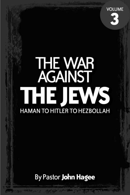

# **THE WAR<br>AGAINST THE JEWS HAMAN TO HITLER TO HEZBOLLAH**

By Pastor John Hagee

part of the AM control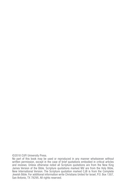©2018 CUFI University Press.

No part of this book may be used or reproduced in any manner whatsoever without written permission, except in the case of brief quotations embodied in critical articles and reviews. Unless otherwise noted all Scripture quotations are from the New King James Version of the Bible. Scripture quotations marked NIV are from the Holy Bible, New International Version. The Scripture quotation marked CJB is from the Complete Jewish Bible. For additional information write Christians United for Israel, P.O. Box 1307, San Antonio, TX 78295. All rights reserved.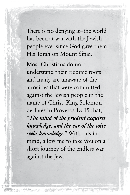There is no denying it—the world has been at war with the Jewish people ever since God gave them His Torah on Mount Sinai.

Most Christians do not understand their Hebraic roots and many are unaware of the atrocities that were committed against the Jewish people in the name of Christ. King Solomon declares in Proverbs 18:15 that, "*The mind of the prudent acquires knowledge, and the ear of the wise seeks knowledge."* With this in mind, allow me to take you on a short journey of the endless war against the Jews.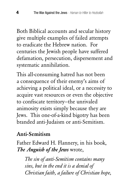Both Biblical accounts and secular history give multiple examples of failed attempts to eradicate the Hebrew nation. For centuries the Jewish people have suffered defamation, persecution, dispersement and systematic annihilation.

This all-consuming hatred has not been a consequence of their enemy's aims of achieving a political ideal, or a necessity to acquire vast resources or even the objective to confiscate territory—the unrivaled animosity exists simply because they are Jews. This one-of-a-kind bigotry has been branded anti-Judaism or anti-Semitism.

# Anti-Semitism

Father Edward H. Flannery, in his book, *The Anguish of the Jews* wrote,

*The sin of anti-Semitism contains many sins, but in the end it is a denial of Christian faith, a failure of Christian hope,*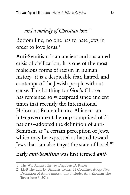### *and a malady of Christian love."*

Bottom line, no one has to hate Jews in order to love Jesus.1

Anti-Semitism is an ancient and sustained crisis of civilization. It is one of the most malicious forms of racism in human history—it is a despicable fear, hatred, and contempt of the Jewish people without cause. This loathing for God's Chosen has remained so widespread since ancient times that recently the International Holocaust Remembrance Alliance—an intergovernmental group comprised of 31 nations—adopted the definition of anti-Semitism as "a certain perception of Jews, which may be expressed as hatred toward Jews that can also target the state of Israel."2

#### Early *anti-Semitism* was first termed *anti-*

<sup>1</sup> The War Against the Jew Dagobert D. Runes

<sup>2</sup> LDB The Luis D. Brandies Center 31 Countries Adopt New Definition of Anti-Semitism that Includes Anti-Zionism The Tower June 3, 2016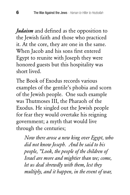*Judaism* and defined as the opposition to the Jewish faith and those who practiced it. At the core, they are one in the same. When Jacob and his sons first entered Egypt to reunite with Joseph they were honored guests but this hospitality was short lived.

The Book of Exodus records various examples of the gentile's phobia and scorn of the Jewish people. One such example was Thutmoses III, the Pharaoh of the Exodus. He singled out the Jewish people for fear they would overtake his reigning government; a myth that would live through the centuries;

*Now there arose a new king over Egypt, who did not know Joseph. And he said to his people, "Look, the people of the children of Israel are more and mightier than we; come, let us deal shrewdly with them, lest they multiply, and it happen, in the event of war,*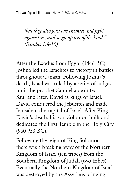*that they also join our enemies and fight against us, and so go up out of the land." (Exodus 1:8-10)*

After the Exodus from Egypt (1446 BC), Joshua led the Israelites to victory in battles throughout Canaan. Following Joshua's death, Israel was ruled by a series of judges until the prophet Samuel appointed Saul and later, David as kings of Israel. David conquered the Jebusites and made Jerusalem the capital of Israel. After King David's death, his son Solomon built and dedicated the First Temple in the Holy City (960-953 BC).

Following the reign of King Solomon there was a breaking away of the Northern Kingdom of Israel (ten tribes) from the Southern Kingdom of Judah (two tribes). Eventually the Northern Kingdom of Israel was destroyed by the Assyrians bringing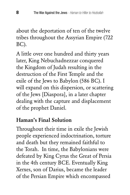about the deportation of ten of the twelve tribes throughout the Assyrian Empire (722 BC).

A little over one hundred and thirty years later, King Nebuchadnezzar conquered the Kingdom of Judah resulting in the destruction of the First Temple and the exile of the Jews to Babylon (586 BC). I will expand on this dispersion, or scattering of the Jews [Diaspora], in a later chapter dealing with the capture and displacement of the prophet Daniel.

# Haman's Final Solution

Throughout their time in exile the Jewish people experienced indoctrination, torture and death but they remained faithful to the Torah. In time, the Babylonians were defeated by King Cyrus the Great of Persia in the 4th century BCE. Eventually King Xerxes, son of Darius, became the leader of the Persian Empire which encompassed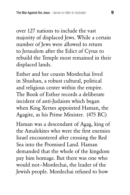over 127 nations to include the vast majority of displaced Jews. While a certain number of Jews were allowed to return to Jerusalem after the Edict of Cyrus to rebuild the Temple most remained in their displaced lands.

Esther and her cousin Mordechai lived in Shushan, a robust cultural, political and religious center within the empire. The Book of Esther records a deliberate incident of anti-Judaism which began when King Xerxes appointed Haman, the Agagite, as his Prime Minister. (475 BC)

Haman was a descendant of Agag, king of the Amalekites who were the first enemies Israel encountered after crossing the Red Sea into the Promised Land. Haman demanded that the whole of the kingdom pay him homage. But there was one who would not—Mordechai, the leader of the Jewish people. Mordechai refused to bow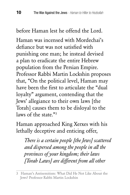before Haman lest he offend the Lord.

Haman was incensed with Mordechai's defiance but was not satisfied with punishing one man; he instead devised a plan to eradicate the entire Hebrew population from the Persian Empire. Professor Rabbi Martin Lockshin proposes that, "On the political level, Haman may have been the first to articulate the "dual loyalty" argument, contending that the Jews' allegiance to their own laws [the Torah] causes them to be disloyal to the laws of the state."<sup>3</sup>

Haman approached King Xerxes with his lethally deceptive and enticing offer,

*There is a certain people [the Jews] scattered and dispersed among the people in all the provinces of your kingdom; their laws [Torah Laws] are different from all other* 

<sup>3</sup> Haman's Antisemitism: What Did He Not Like About the Jews? Professor Rabbi Martin Lockshin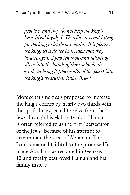*people's, and they do not keep the king's laws [dual loyalty]. Therefore it is not fitting for the king to let them remain. If it pleases the king, let a decree be written that they be destroyed...l pay ten thousand talents of silver into the hands of those who do the work, to bring it [the wealth of the Jews] into the king's treasuries. Esther 3:8-9*

Mordechai's nemesis proposed to increase the king's coffers by nearly two-thirds with the spoils he expected to seize from the Jews through his elaborate plot. Haman is often referred to as the first "persecutor of the Jews" because of his attempt to exterminate the seed of Abraham. The Lord remained faithful to the promise He made Abraham as recorded in Genesis 12 and totally destroyed Haman and his family instead.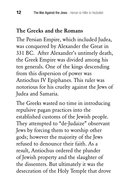### The Greeks and the Romans

The Persian Empire, which included Judea, was conquered by Alexander the Great in 331 BC. After Alexander's untimely death, the Greek Empire was divided among his ten generals. One of the kings descending from this dispersion of power was Antiochus IV Epiphanes. This ruler was notorious for his cruelty against the Jews of Judea and Samaria.

The Greeks wasted no time in introducing repulsive pagan practices into the established customs of the Jewish people. They attempted to "de-Judaize" observant Jews by forcing them to worship other gods; however the majority of the Jews refused to denounce their faith. As a result, Antiochus ordered the plunder of Jewish property and the slaughter of the dissenters. But ultimately it was the desecration of the Holy Temple that drove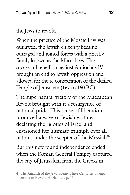# the Jews to revolt.

When the practice of the Mosaic Law was outlawed, the Jewish citizenry became outraged and joined forces with a priestly family known as the Maccabees. The successful rebellion against Antiochus IV brought an end to Jewish oppression and allowed for the re-consecration of the defiled Temple of Jerusalem (167 to 160 BC).

The supernatural victory of the Maccabean Revolt brought with it a resurgence of national pride. This sense of liberation produced a wave of Jewish writings declaring the "glories of Israel and envisioned her ultimate triumph over all nations under the scepter of the Messiah"4

But this new found independence ended when the Roman General Pompey captured the city of Jerusalem from the Greeks in

<sup>4</sup> The Anguish of the Jews Twenty Three Centuries of Anti-Semitism Edward H. Flannery p. 13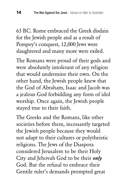63 BC. Rome embraced the Greek disdain for the Jewish people and as a result of Pompey's conquest, 12,000 Jews were slaughtered and many more were exiled.

The Romans were proud of their gods and were absolutely intolerant of any religion that would undermine their own. On the other hand, the Jewish people knew that the God of Abraham, Isaac and Jacob was a jealous God forbidding any form of idol worship. Once again, the Jewish people stayed true to their faith.

The Greeks and the Romans, like other societies before them, incessantly targeted the Jewish people because they would not adapt to their cultures or polytheistic religions. The Jews of the Diaspora considered Jerusalem to be their Holy City and Jehovah God to be their *only* God. But the refusal to embrace their Gentile ruler's demands prompted great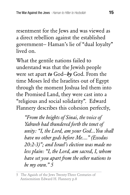resentment for the Jews and was viewed as a direct rebellion against the established government— Haman's lie of "dual loyalty" lived on.

What the gentile nations failed to understand was that the Jewish people were set apart *to* God—*by* God. From the time Moses led the Israelites out of Egypt through the moment Joshua led them into the Promised Land, they were cast into a "religious and social solidarity". Edward Flannery describes this cohesion perfectly,

*"From the heights of Sinai, the voice of Yahweh had thundered forth the tenet of unity: "I, the Lord, am your God...You shall have no other gods before Me...." (Exodus 20:2-3)"; and Israel's election was made no less plain: "I, the Lord, am sacred, I, whom have set you apart from the other nations to be my own." 5* 

<sup>5</sup> The Aguish of the Jews Twenty-Three Centuries of Antisemitism Edward H. Flannery p.8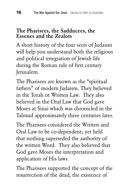#### The Pharisees, the Sadducees, the Essenes and the Zealots

A short history of the four sects of Judaism will help you understand both the religious and political integration of Jewish life during the Roman rule of first century Jerusalem.

The Pharisees are known as the "spiritual fathers" of modern Judaism. They believed in the Torah or Written Law. They also believed in the Oral Law that God gave Moses at Sinai which was chronicled in the Talmud approximately three centuries later.

The Pharisees considered the Written and Oral Law to be co-dependent; yet held that nothing superseded the authority of the written Word. They also believed that God gave Moses the interpretation and application of His laws.

The Pharisees supported the concept of the resurrection of the dead, the existence of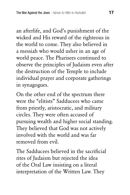an afterlife, and God's punishment of the wicked and His reward of the righteous in the world to come. They also believed in a messiah who would usher in an age of world peace. The Pharisees continued to observe the principles of Judaism even after the destruction of the Temple to include individual prayer and corporate gatherings in synagogues.

On the other end of the spectrum there were the "elitists" Sadducees who came from priestly, aristocratic, and military circles. They were often accused of pursuing wealth and higher social standing. They believed that God was not actively involved with the world and was far removed from evil.

The Sadducees believed in the sacrificial rites of Judaism but rejected the idea of the Oral Law insisting on a literal interpretation of the Written Law. They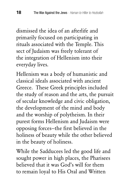dismissed the idea of an afterlife and primarily focused on participating in rituals associated with the Temple. This sect of Judaism was freely tolerant of the integration of Hellenism into their everyday lives.

Hellenism was a body of humanistic and classical ideals associated with ancient Greece. These Greek principles included the study of reason and the arts, the pursuit of secular knowledge and civic obligation, the development of the mind and body and the worship of polytheism. In their purest forms Hellenism and Judaism were opposing forces—the first believed in the holiness of beauty while the other believed in the beauty of holiness.

While the Sadducees led the good life and sought power in high places, the Pharisees believed that it was God's will for them to remain loyal to His Oral and Written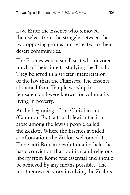Law. Enter the Essenes who removed themselves from the struggle between the two opposing groups and retreated to their desert communities.

The Essenes were a small sect who devoted much of their time to studying the Torah. They believed in a stricter interpretation of the law than the Pharisees. The Essenes abstained from Temple worship in Jerusalem and were known for voluntarily living in poverty.

At the beginning of the Christian era (Common Era), a fourth Jewish faction arose among the Jewish people called the Zealots. Where the Essenes avoided confrontation, the Zealots welcomed it. These anti-Roman revolutionaries held the basic conviction that political and religious liberty from Rome was essential and should be achieved by any means possible. The most renowned story involving the Zealots,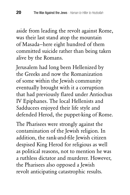aside from leading the revolt against Rome, was their last stand atop the mountain of Masada—here eight hundred of them committed suicide rather than being taken alive by the Romans.

Jerusalem had long been Hellenized by the Greeks and now the Romanization of some within the Jewish community eventually brought with it a corruption that had previously flared under Antiochus IV Epiphanes. The local Hellenists and Sadducees enjoyed their life style and defended Herod, the puppet-king of Rome.

The Pharisees were strongly against the contamination of the Jewish religion. In addition, the rank-and-file Jewish citizen despised King Herod for religious as well as political reasons, not to mention he was a ruthless dictator and murderer. However, the Pharisees also opposed a Jewish revolt anticipating catastrophic results.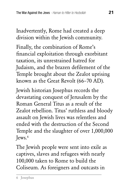Inadvertently, Rome had created a deep division within the Jewish community.

Finally, the combination of Rome's financial exploitation through exorbitant taxation, its unrestrained hatred for Judaism, and the brazen defilement of the Temple brought about the Zealot uprising known as the Great Revolt (66–70 AD).

Jewish historian Josephus records the devastating conquest of Jerusalem by the Roman General Titus as a result of the Zealot rebellion. Titus' ruthless and bloody assault on Jewish lives was relentless and ended with the destruction of the Second Temple and the slaughter of over 1,000,000 Jews.6

The Jewish people were sent into exile as captives, slaves and refugees with nearly 100,000 taken to Rome to build the Coliseum. As foreigners and outcasts in

<sup>6</sup> Josephus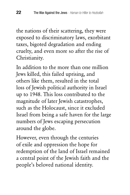the nations of their scattering, they were exposed to discriminatory laws, exorbitant taxes, bigoted degradation and ending cruelty, and even more so after the rise of Christianity.

In addition to the more than one million Jews killed, this failed uprising, and others like them, resulted in the total loss of Jewish political authority in Israel up to 1948. This loss contributed to the magnitude of later Jewish catastrophes, such as the Holocaust, since it excluded Israel from being a safe haven for the large numbers of Jews escaping persecution around the globe.

However, even through the centuries of exile and oppression the hope for redemption of the land of Israel remained a central point of the Jewish faith and the people's beloved national identity.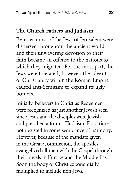# The Church Fathers and Judaism

By now, most of the Jews of Jerusalem were dispersed throughout the ancient world and their unwavering devotion to their faith became an offense to the nations to which they migrated. For the most part, the Jews were tolerated; however, the advent of Christianity within the Roman Empire caused anti-Semitism to expand its ugly borders.

Initially, believers in Christ as Redeemer were recognized as just another Jewish sect, since Jesus and the disciples were Jewish and preached a form of Judaism. For a time both existed in some semblance of harmony. However, because of the mandate given in the Great Commission, the apostles evangelized all men with the Gospel through their travels in Europe and the Middle East. Soon the body of Christ exponentially multiplied to include non-Jews.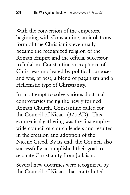With the conversion of the emperors, beginning with Constantine, an idolatrous form of true Christianity eventually became the recognized religion of the Roman Empire and the official successor to Judaism. Constantine's acceptance of Christ was motivated by political purposes and was, at best, a blend of paganism and a Hellenistic type of Christianity.

In an attempt to solve various doctrinal controversies facing the newly formed Roman Church, Constantine called for the Council of Nicaea (325 AD). This ecumenical gathering was the first empirewide council of church leaders and resulted in the creation and adoption of the Nicene Creed. By its end, the Council also successfully accomplished their goal to separate Christianity from Judaism.

Several new doctrines were recognized by the Council of Nicaea that contributed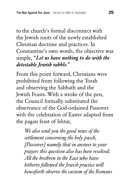to the church's formal disconnect with the Jewish roots of the newly established Christian doctrine and practices. In Constantine's own words, the objective was simple, "*Let us have nothing to do with the detestable Jewish rabble*."

From this point forward, Christians were prohibited from following the Torah and observing the Sabbath and the Jewish Feasts. With a stroke of the pen, the Council formally substituted the observance of the God-ordained Passover with the celebration of Easter adapted from the pagan feast of Ishtar,

*We also send you the good news of the settlement concerning the holy pasch, [Passover] namely that in answer to your prayers this question also has been resolved. All the brethren in the East who have hitherto followed the Jewish practice will henceforth observe the custom of the Romans*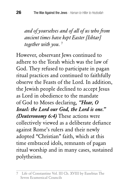*and of yourselves and of all of us who from ancient times have kept Easter [Ishtar] together with you.* <sup>7</sup>

However, observant Jews continued to adhere to the Torah which was the law of God. They refused to participate in pagan ritual practices and continued to faithfully observe the Feasts of the Lord. In addition, the Jewish people declined to accept Jesus as Lord in obedience to the mandate of God to Moses declaring, *"Hear, O Israel: the Lord our God, the Lord is one." (Deuteronomy 6:4)* These actions were collectively viewed as a deliberate defiance against Rome's rulers and their newly adopted "Christian" faith, which at this time embraced idols, remnants of pagan ritual worship and in many cases, sustained polytheism.

<sup>7</sup> Life of Constantine Vol. III Ch. XVIII by Eusebius The Seven Ecumenical Councils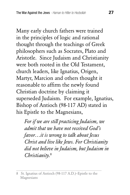Many early church fathers were trained in the principles of logic and rational thought through the teachings of Greek philosophers such as Socrates, Plato and Aristotle. Since Judaism and Christianity were both rooted in the Old Testament, church leaders, like Ignatius, Origen, Martyr, Marcion and others thought it reasonable to affirm the newly found Christian doctrine by claiming it superseded Judaism. For example, Ignatius, Bishop of Antioch (98-117 AD) stated in his Epistle to the Magnesians,

*For if we are still practicing Judaism, we admit that we have not received God's favor…it is wrong to talk about Jesus Christ and live like Jews. For Christianity did not believe in Judaism, but Judaism in Christianity.*<sup>8</sup>

<sup>8</sup> St. Ignatius of Antioch (98-117 A.D.)–Epistle to the Magnesians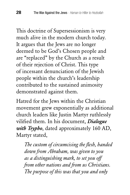This doctrine of Supersessionism is very much alive in the modern church today. It argues that the Jews are no longer deemed to be God's Chosen people and are "replaced" by the Church as a result of their rejection of Christ. This type of incessant denunciation of the Jewish people within the church's leadership contributed to the sustained animosity demonstrated against them.

Hatred for the Jews within the Christian movement grew exponentially as additional church leaders like Justin Martyr ruthlessly vilified them. In his document, *Dialogue with Trypho*, dated approximately 160 AD, Martyr stated,

*The custom of circumcising the flesh, handed down from Abraham, was given to you as a distinguishing mark, to set you off from other nations and from us Christians. The purpose of this was that you and only*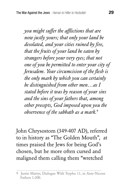*you might suffer the afflictions that are now justly yours; that only your land be desolated, and your cities ruined by fire, that the fruits of your land be eaten by strangers before your very eyes; that not one of you be permitted to enter your city of Jerusalem. Your circumcision of the flesh is the only mark by which you can certainly be distinguished from other men…as I stated before it was by reason of your sins and the sins of your fathers that, among other precepts, God imposed upon you the observence of the sabbath as a mark.*<sup>9</sup>

John Chrysostom (349-407 AD), referred to in history as "The Golden Mouth", at times praised the Jews for being God's chosen, but he more often cursed and maligned them calling them "wretched

<sup>9</sup> Justin Martyr, Dialogue With Trypho 11, in Ante-Nicene Fathers 1:200.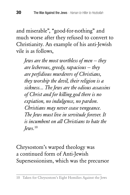and miserable", "good-for-nothing" and much worse after they refused to convert to Christianity. An example of his anti-Jewish vile is as follows,

*Jews are the most worthless of men — they are lecherous, greedy, rapacious — they are perfidious murderers of Christians, they worship the devil, their religion is a sickness... The Jews are the odious assassins of Christ and for killing god there is no expiation, no indulgence, no pardon. Christians may never cease vengeance. The Jews must live in servitude forever. It is incumbent on all Christians to hate the Jews.*<sup>10</sup>

Chrysostom's warped theology was a continued form of Anti-Jewish Supersessionism, which was the precursor

<sup>10</sup> Taken for Chrysostom's Eight Homilies Against the Jews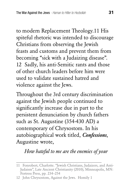to modern Replacement Theology.11 His spiteful rhetoric was intended to discourage Christians from observing the Jewish feasts and customs and prevent them from becoming "sick with a Judaizing disease". 12 Sadly, his anti-Semitic rants and those of other church leaders before him were used to validate sustained hatred and violence against the Jews.

Throughout the 3rd century discrimination against the Jewish people continued to significantly increase due in part to the persistent denunciation by church fathers such as St. Augustine (354-430 AD) a contemporary of Chrysostom. In his autobiographical work titled, *Confessions*, Augustine wrote,

# *How hateful to me are the enemies of your*

<sup>11</sup> Fonrobert, Charlotte. "Jewish Christians, Judaizers, and Anti-Judaism", Late Ancient Christianity (2010), Minneapolis, MN: Fortress Press, pp. 234–254

<sup>12</sup> John Chrysostom, Against the Jews. Homily 1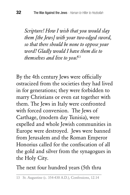*Scripture! How I wish that you would slay them [the Jews] with your two-edged sword, so that there should be none to oppose your word! Gladly would I have them die to themselves and live to you!*<sup>13</sup>

By the 4th century Jews were officially ostracized from the societies they had lived in for generations; they were forbidden to marry Christians or even eat together with them. The Jews in Italy were confronted with forced conversion. The Jews of Carthage, (modern day Tunisia), were expelled and whole Jewish communities in Europe were destroyed. Jews were banned from Jerusalem and the Roman Emperor Honorius called for the confiscation of all the gold and silver from the synagogues in the Holy City.

The next four hundred years (5th thru

<sup>13</sup> St. Augustine (c. 354-430 A.D.), Confessions, 12.14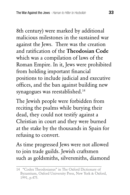8th century) were marked by additional malicious milestones in the sustained war against the Jews. There was the creation and ratification of the Theodosian Code which was a compilation of laws of the Roman Empire. In it, Jews were prohibited from holding important financial positions to include judicial and executive offices, and the ban against building new synagogues was reestablished.<sup>14</sup>

The Jewish people were forbidden from reciting the psalms while burying their dead, they could not testify against a Christian in court and they were burned at the stake by the thousands in Spain for refusing to convert.

As time progressed Jews were not allowed to join trade guilds. Jewish craftsmen such as goldsmiths, silversmiths, diamond

<sup>14 &</sup>quot;Codex Theodosianus" in The Oxford Dictionary of Byzantium, Oxford University Press, New York & Oxford, 1991, p.475.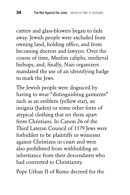cutters and glass-blowers began to fade away. Jewish people were excluded from owning land, holding office, and from becoming doctors and lawyers. Over the course of time, Muslim caliphs, medieval bishops, and, finally, Nazi organizers mandated the use of an identifying badge to mark the Jews.

The Jewish people were disgraced by having to wear "distinguishing garments" such as an emblem (yellow star), an insignia (Juden) or some other form of atypical clothing that set them apart from Christians. In Canon 26 of the Third Lateran Council of 1179 Jews were forbidden to be plaintiffs or witnesses against Christians in court and were also prohibited from withholding an inheritance from their descendants who had converted to Christianity.

Pope Urban II of Rome decreed for the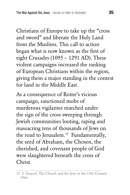Christians of Europe to take up the "cross and sword" and liberate the Holy Land from the Muslims. This call to action began what is now known as the first of eight Crusades (1095 – 1291 AD). These violent campaigns increased the ranking of European Christians within the region, giving them a major standing in the contest for land in the Middle East.

As a consequence of Rome's vicious campaign, sanctioned mobs of murderous vigilantes marched under the sign of the cross sweeping through Jewish communities looting, raping and massacring tens of thousands of Jews on the road to Jerusalem.<sup>15</sup> Fundamentally, the seed of Abraham, the Chosen, the cherished, and covenant people of God were slaughtered beneath the cross of Christ.

<sup>15</sup> S. Grayzel, The Church and the Jews in the 13th Century 1966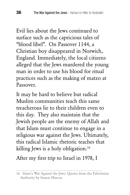Evil lies about the Jews continued to surface such as the capricious tales of "blood libel". On Passover 1144, a Christian boy disappeared in Norwich, England. Immediately, the local citizens alleged that the Jews murdered the young man in order to use his blood for ritual practices such as the making of matzo at Passover.

It may be hard to believe but radical Muslim communities teach this same treacherous lie to their children even to this day. They also maintain that the Jewish people are the enemy of Allah and that Islam must continue to engage in a religious war against the Jews. Ultimately, this radical Islamic rhetoric teaches that killing Jews is a holy obligation.<sup>16</sup>

After my first trip to Israel in 1978, I

<sup>16</sup> Islam's War Against the Jews: Quotes from the Palestinian Authority by Itamar Marcus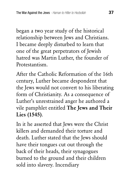began a two year study of the historical relationship between Jews and Christians. I became deeply disturbed to learn that one of the great perpetrators of Jewish hatred was Martin Luther, the founder of Protestantism.

After the Catholic Reformation of the 16th century, Luther became despondent that the Jews would not convert to his liberating form of Christianity. As a consequence of Luther's unrestrained anger he authored a vile pamphlet entitled The Jews and Their Lies (1545).

In it he asserted that Jews were the Christ killers and demanded their torture and death. Luther stated that the Jews should have their tongues cut out through the back of their heads, their synagogues burned to the ground and their children sold into slavery. Incendiary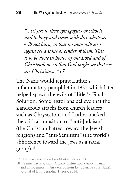*"...set fire to their synagogues or schools and to bury and cover with dirt whatever will not burn, so that no man will ever again see a stone or cinder of them. This is to be done in honor of our Lord and of Christendom, so that God might see that we are Christians..."17*

The Nazis would reprint Luther's inflammatory pamphlet in 1935 which later helped spawn the evils of Hitler's Final Solution. Some historians believe that the slanderous attacks from church leaders such as Chrysostom and Luther marked the critical transition of "anti-Judaism" (the Christian hatred toward the Jewish religion) and "anti-Semitism" (the world's abhorrence toward the Jews as a racial  $group).<sup>18</sup>$ 

<sup>17</sup> The Jews and Their Lies Martin Luther 1545

<sup>18</sup> Jeanne Favret-Saada, A fuzzy distinction - Anti-Judaism and anti-Semitism (An excerpt from Le Judaisme et ses Juifs), Journal of Ethnographic Theory, 2014.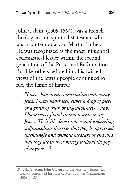John Calvin, (1509-1564), was a French theologian and spiritual statesman who was a contemporary of Martin Luther. He was recognized as the most influential ecclesiastical leader within the second generation of the Protestant Reformation. But like others before him, his twisted views of the Jewish people continued to fuel the flame of hatred;

*"I have had much conversation with many Jews: I have never seen either a drop of piety or a grain of truth or ingenuousness – nay, I have never found common sense in any Jew.... Their [the Jews] rotten and unbending stiffneckedness deserves that they be oppressed unendingly and without measure or end and that they die in their misery without the pity of anyone."* <sup>19</sup>

<sup>19</sup> Pak, G. Sojin. John Calvin and the Jews: His Exegetical Legacy. Reformed Institute of Metropolitan Washington, 2009, p. 25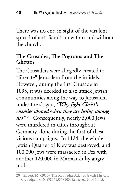There was no end in sight of the virulent spread of anti-Semitism within and without the church.

#### The Crusades, The Pogroms and The **Ghettos**

The Crusaders were allegedly created to "liberate" Jerusalem from the infidels. However, during the first Crusade in 1095, it was decided to also attack Jewish communities along the way to Jerusalem under the slogan, *"Why fight Christ's enemies abroad when they are living among us?"* 20 Consequently, nearly 5,000 Jews were murdered in cities throughout Germany alone during the first of these vicious campaigns. In 1124, the whole Jewish Quarter of Kiev was destroyed, and 100,000 Jews were massacred in Fez with another 120,000 in Marrakesh by angry mobs.

<sup>20</sup> Gilbert, M. (2010). The Routledge Atlas of Jewish History. Routledge. ISBN 9780415558105. Retrieved 2014-10-05.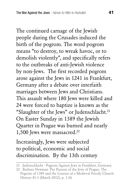The continued carnage of the Jewish people during the Crusades induced the birth of the pogrom. The word pogrom means "to destroy, to wreak havoc, or to demolish violently", and specifically refers to the outbreaks of anti-Jewish violence by non-Jews. The first recorded pogrom arose against the Jews in 1241 in Frankfurt, Germany after a debate over interfaith marriages between Jews and Christians. This assault where 180 Jews were killed and 24 were forced to baptize is known as the "Slaughter of the Jews" or Judenschlacht.<sup>21</sup> On Easter Sunday in 1389 the Jewish Quarter in Prague was burned and nearly 1,500 Jews were massacred.22

Increasingly, Jews were subjected to political, economic and social discrimination. By the 13th century

<sup>21</sup> Judenschlacht - Pogrom Against Jews in Frankfurt, Germany

<sup>22</sup> Barbara Newman The Passion of the Jews of Prague: The Pogrom of 1389 and the Lessons of a Medieval Parody Church History 81:1 (March 2012), p. 1-26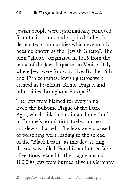Jewish people were systematically removed from their homes and required to live in designated communities which eventually became known as the "Jewish Ghetto". The term "ghetto" originated in 1516 from the name of the Jewish quarter in Venice, Italy where Jews were forced to live. By the 16th and 17th centuries, Jewish ghettos were created in Frankfurt, Rome, Prague, and other cities throughout Europe.<sup>23</sup>

The Jews were blamed for everything. Even the Bubonic Plague of the Dark Ages, which killed an estimated one-third of Europe's population, fueled further anti-Jewish hatred. The Jews were accused of poisoning wells leading to the spread of the "Black Death" as this devastating disease was called. For this, and other false allegations related to the plague, nearly 100,000 Jews were burned alive in Germany

<sup>23</sup> http://www.sacred-destinations.com/italy/venice-ghetto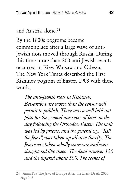### and Austria alone.24

By the 1800s pogroms became commonplace after a large wave of anti-Jewish riots moved through Russia. During this time more than 200 anti-Jewish events occurred in Kiev, Warsaw and Odessa. The New York Times described the First Kishinev pogrom of Easter, 1903 with these words,

*The anti-Jewish riots in Kishinev, Bessarabia are worse than the censor will permit to publish. There was a well laid-out plan for the general massacre of Jews on the day following the Orthodox Easter. The mob was led by priests, and the general cry, "Kill the Jews", was taken up all over the city. The Jews were taken wholly unaware and were slaughtered like sheep. The dead number 120 and the injured about 500. The scenes of* 

<sup>24</sup> Anna Foa The Jews of Europe After the Black Death 2000 Page 146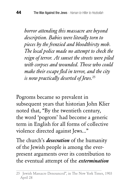*horror attending this massacre are beyond description. Babies were literally torn to pieces by the frenzied and bloodthirsty mob. The local police made no attempt to check the reign of terror. At sunset the streets were piled with corpses and wounded. Those who could make their escape fled in terror, and the city is now practically deserted of Jews.*<sup>25</sup>

Pogroms became so prevalent in subsequent years that historian John Klier noted that, "By the twentieth century, the word 'pogrom' had become a generic term in English for all forms of collective violence directed against Jews..."

The church's *desecration* of the humanity of the Jewish people is among the everpresent arguments over its contribution to the eventual attempt of the *extermination* 

<sup>25</sup> Jewish Massacre Denounced", in The New York Times, 1903 April 28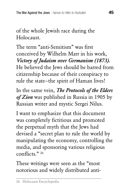of the whole Jewish race during the Holocaust.

The term "anti-Semitism" was first conceived by Wilhelm Marr in his work, *Victory of Judaism over Germanism (1873).*  He believed the Jews should be barred from citizenship because of their conspiracy to rule the state—the spirit of Haman lives!

In the same vein, *The Protocols of the Elders of Zion* was published in Russia in 1905 by Russian writer and mystic Sergei Nilus.

I want to emphasize that this document was completely fictitious and promoted the perpetual myth that the Jews had devised a "secret plan to rule the world by manipulating the economy, controlling the media, and sponsoring various religious conflicts." 26

These writings were seen as the "most notorious and widely distributed anti-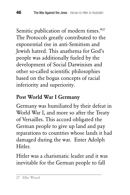Semitic publication of modern times."<sup>27</sup> The Protocols greatly contributed to the exponential rise in anti-Semitism and Jewish hatred. This anathema for God's people was additionally fueled by the development of Social Darwinism and other so-called scientific philosophies based on the bogus concepts of racial inferiority and superiority.

# Post World War I Germany

Germany was humiliated by their defeat in World War I, and more so after the Treaty of Versailles. This accord obligated the German people to give up land and pay reparations to countries whose lands it had damaged during the war. Enter Adolph Hitler.

Hitler was a charismatic leader and it was inevitable for the German people to fall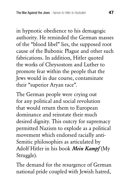in hypnotic obedience to his demagogic authority. He reminded the German masses of the "blood libel" lies, the supposed root cause of the Bubonic Plague and other such fabrications. In addition, Hitler quoted the works of Chrysostom and Luther to promote fear within the people that the Jews would in due course, contaminate their "superior Aryan race".

The German people were crying out for any political and social revolution that would return them to European dominance and reinstate their much desired dignity. This outcry for supremacy permitted Nazism to explode as a political movement which endorsed racially anti-Semitic philosophies as articulated by Adolf Hitler in his book *Mein Kampf* (My Struggle).

The demand for the resurgence of German national pride coupled with Jewish hatred,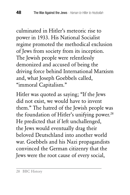culminated in Hitler's meteoric rise to power in 1933. His National Socialist regime promoted the methodical exclusion of Jews from society from its inception. The Jewish people were relentlessly demonized and accused of being the driving force behind International Marxism and, what Joseph Goebbels called, "immoral Capitalism."

Hitler was quoted as saying; "If the Jews did not exist, we would have to invent them." The hatred of the Jewish people was the foundation of Hitler's unifying power.<sup>28</sup> He predicted that if left unchallenged, the Jews would eventually drag their beloved Deutschland into another world war. Goebbels and his Nazi propagandists convinced the German citizenry that the Jews were the root cause of every social,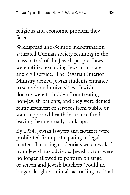religious and economic problem they faced.

Widespread anti-Semitic indoctrination saturated German society resulting in the mass hatred of the Jewish people. Laws were ratified excluding Jews from state and civil service. The Bavarian Interior Ministry denied Jewish students entrance to schools and universities. Jewish doctors were forbidden from treating non-Jewish patients, and they were denied reimbursement of services from public or state supported health insurance funds leaving them virtually bankrupt.

By 1934, Jewish lawyers and notaries were prohibited from participating in legal matters. Licensing credentials were revoked from Jewish tax advisors, Jewish actors were no longer allowed to perform on stage or screen and Jewish butchers "could no longer slaughter animals according to ritual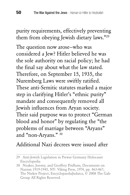purity requirements, effectively preventing them from obeying Jewish dietary laws."29

The question now arose—who was considered a Jew? Hitler believed he was the sole authority on racial policy; he had the final say about what the law stated. Therefore, on September 15, 1935, the Nuremberg Laws were swiftly ratified. These anti-Semitic statutes marked a major step in clarifying Hitler's "ethnic purity" mandate and consequently removed all Jewish influences from Aryan society. Their said purpose was to protect "German blood and honor" by regulating the "the problems of marriage between "Aryans" and "non-Aryans." 30

#### Additional Nazi decrees were issued after

<sup>29</sup> Anti-Jewish Legislation in Prewar Germany Holocaust Encyclopedia

<sup>30</sup> Noakes, Jeremy, and Geoffrey Pridham, Documents on Nazism 1919-1945, NY: Viking Press, 1974, pp. 463-467; The Nizkor Project; EncyclopaediaJudaica, © 2008 The Gale Group All Rights Reserved.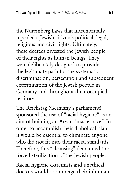the Nuremberg Laws that incrementally repealed a Jewish citizen's political, legal, religious and civil rights. Ultimately, these decrees divested the Jewish people of their rights as human beings. They were deliberately designed to provide the legitimate path for the systematic discrimination, persecution and subsequent extermination of the Jewish people in Germany and throughout their occupied territory.

The Reichstag (Germany's parliament) sponsored the use of "racial hygiene" as an aim of building an Aryan "master race". In order to accomplish their diabolical plan it would be essential to eliminate anyone who did not fit into their racial standards. Therefore, this "cleansing" demanded the forced sterilization of the Jewish people.

Racial hygiene extremists and unethical doctors would soon merge their inhuman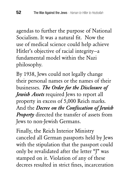agendas to further the purpose of National Socialism. It was a natural fit. Now the use of medical science could help achieve Hitler's objective of racial integrity—a fundamental model within the Nazi philosophy.

By 1938, Jews could not legally change their personal names or the names of their businesses. *The Order for the Disclosure of Jewish Assets* required Jews to report all property in excess of 5,000 Reich marks. And the *Decree on the Confiscation of Jewish Property* directed the transfer of assets from Jews to non-Jewish Germans.

Finally, the Reich Interior Ministry canceled all German passports held by Jews with the stipulation that the passport could only be revalidated after the letter "J" was stamped on it. Violation of any of these decrees resulted in strict fines, incarceration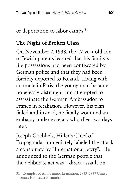# or deportation to labor camps.<sup>31</sup>

# The Night of Broken Glass

On November 7, 1938, the 17 year old son of Jewish parents learned that his family's life possessions had been confiscated by German police and that they had been forcibly deported to Poland. Living with an uncle in Paris, the young man became hopelessly distraught and attempted to assassinate the German Ambassador to France in retaliation. However, his plan failed and instead, he fatally wounded an embassy undersecretary who died two days later.

Joseph Goebbels, Hitler's Chief of Propaganda, immediately labeled the attack a conspiracy by "International Jewry". He announced to the German people that the deliberate act was a direct assault on

<sup>31</sup> Examples of Anti-Semitic Legislation, 1933–1939 United States Holocaust Memorial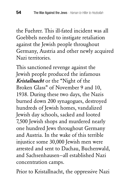the Fuehrer. This ill-fated incident was all Goebbels needed to instigate retaliation against the Jewish people throughout Germany, Austria and other newly acquired Nazi territories.

This sanctioned revenge against the Jewish people produced the infamous *Kristallnacht* or the "Night of the Broken Glass" of November 9 and 10, 1938. During these two days, the Nazis burned down 200 synagogues, destroyed hundreds of Jewish homes, vandalized Jewish day schools, sacked and looted 7,500 Jewish shops and murdered nearly one hundred Jews throughout Germany and Austria. In the wake of this terrible injustice some 30,000 Jewish men were arrested and sent to Dachau, Buchenwald, and Sachsenhausen—all established Nazi concentration camps.

Prior to Kristallnacht, the oppressive Nazi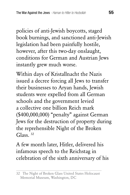policies of anti-Jewish boycotts, staged book burnings, and sanctioned anti-Jewish legislation had been painfully hostile, however, after this two-day onslaught, conditions for German and Austrian Jews instantly grew much worse.

Within days of Kristallnacht the Nazis issued a decree forcing all Jews to transfer their businesses to Aryan hands, Jewish students were expelled from all German schools and the government levied a collective one billion Reich mark (\$400,000,000) "penalty" against German Jews for the destruction of property during the reprehensible Night of the Broken Glass<sup>32</sup>

A few month later, Hitler, delivered his infamous speech to the Reichstag in celebration of the sixth anniversary of his

<sup>32</sup> The Night of Broken Glass United States Holocaust Memorial Museum, Washington, DC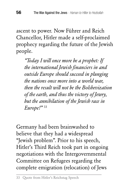ascent to power. Now Führer and Reich Chancellor, Hitler made a self-proclaimed prophecy regarding the future of the Jewish people.

*"Today I will once more be a prophet: If the international Jewish financiers in and outside Europe should succeed in plunging the nations once more into a world war, then the result will not be the Bolshevization of the earth, and thus the victory of Jewry, but the annihilation of the Jewish race in Europe!"* <sup>33</sup>

Germany had been brainwashed to believe that they had a widespread "Jewish problem". Prior to his speech, Hitler's Third Reich took part in ongoing negotiations with the Intergovernmental Committee on Refugees regarding the complete emigration (relocation) of Jews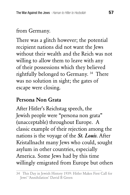# from Germany.

There was a glitch however; the potential recipient nations did not want the Jews without their wealth and the Reich was not willing to allow them to leave with any of their possessions which they believed rightfully belonged to Germany. 34 There was no solution in sight; the gates of escape were closing.

### Persona Non Grata

After Hitler's Reichstag speech, the Jewish people were "persona non grata" (unacceptable) throughout Europe. A classic example of their rejection among the nations is the voyage of the *St. Louis*. After Kristallnacht many Jews who could, sought asylum in other countries, especially America. Some Jews had by this time willingly emigrated from Europe but others

<sup>34</sup> This Day in Jewish History 1939: Hitler Makes First Call for Jews' 'Annihilation' David B Green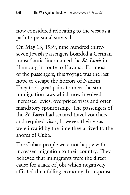now considered relocating to the west as a path to personal survival.

On May 13, 1939, nine hundred thirtyseven Jewish passengers boarded a German transatlantic liner named the *St. Louis* in Hamburg in route to Havana. For most of the passengers, this voyage was the last hope to escape the horrors of Nazism. They took great pains to meet the strict immigration laws which now involved increased levies, overpriced visas and often mandatory sponsorship. The passengers of the *St. Louis* had secured travel vouchers and required visas; however, their visas were invalid by the time they arrived to the shores of Cuba.

The Cuban people were not happy with increased migration to their country. They believed that immigrants were the direct cause for a lack of jobs which negatively affected their failing economy. In response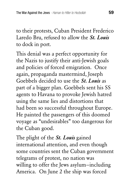to their protests, Cuban President Frederico Laredo Bru, refused to allow the *St. Louis* to dock in port.

This denial was a perfect opportunity for the Nazis to justify their anti-Jewish goals and policies of forced emigration. Once again, propaganda mastermind, Joseph Goebbels decided to use the *St. Louis* as part of a bigger plan. Goebbels sent his SS agents to Havana to provoke Jewish hatred using the same lies and distortions that had been so successful throughout Europe. He painted the passengers of this doomed voyage as "undesirables" too dangerous for the Cuban good.

The plight of the *St. Louis* gained international attention, and even though some countries sent the Cuban government telegrams of protest, no nation was willing to offer the Jews asylum—including America. On June 2 the ship was forced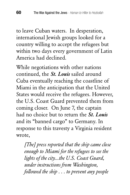to leave Cuban waters. In desperation, international Jewish groups looked for a country willing to accept the refugees but within two days every government of Latin America had declined.

While negotiations with other nations continued, the *St. Louis* sailed around Cuba eventually reaching the coastline of Miami in the anticipation that the United States would receive the refugees. However, the U.S. Coast Guard prevented them from coming closer. On June 7, the captain had no choice but to return the *St. Louis* and its "banned cargo" to Germany. In response to this travesty a Virginia resident wrote,

*[The] press reported that the ship came close enough to Miami for the refugees to see the lights of the city...the U.S. Coast Guard, under instructions from Washington, followed the ship . . . to prevent any people*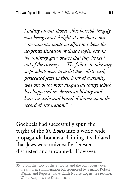*landing on our shores...this horrible tragedy was being enacted right at our doors, our government...made no effort to relieve the desperate situation of these people, but on the contrary gave orders that they be kept out of the country. . . The failure to take any steps whatsoever to assist these distressed, persecuted Jews in their hour of extremity was one of the most disgraceful things which has happened in American history and leaves a stain and brand of shame upon the record of our nation."* <sup>35</sup>

Goebbels had successfully spun the plight of the *St. Louis* into a world-wide propaganda bonanza claiming it validated that Jews were universally detested, distrusted and unwanted. However,

<sup>35</sup> From the story of the St. Louis and the controversy over the children's immigration bill sponsored by Senator Robert Wagner and Representative Edith Nourse Rogers (see reading, World Responses to Kristallnacht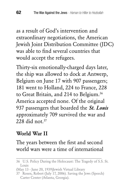as a result of God's intervention and extraordinary negotiations, the American Jewish Joint Distribution Committee (JDC) was able to find several countries that would accept the refugees.

Thirty-six emotionally-charged days later, the ship was allowed to dock at Antwerp, Belgium on June 17 with 907 passengers; 181 went to Holland, 224 to France, 228 to Great Britain, and 214 to Belgium.<sup>36</sup> America accepted none. Of the original 937 passengers that boarded the *St. Louis*  approximately 709 survived the war and 228 did not  $37$ 

### World War II

## The years between the first and second world wars were a time of international

<sup>36</sup> U.S. Policy During the Holocaust: The Tragedy of S.S. St. Louis

<sup>(</sup>May 13 - June 20, 1939)Jewish Virtual Library

<sup>37</sup> Rosen, Robert (July 17, 2006). Saving the Jews (Speech) Carter Center (Atlanta, Georgia).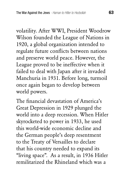volatility. After WWI, President Woodrow Wilson founded the League of Nations in 1920, a global organization intended to regulate future conflicts between nations and preserve world peace. However, the League proved to be ineffective when it failed to deal with Japan after it invaded Manchuria in 1931. Before long, turmoil once again began to develop between world powers.

The financial devastation of America's Great Depression in 1929 plunged the world into a deep recession. When Hitler skyrocketed to power in 1933, he used this world-wide economic decline and the German people's deep resentment to the Treaty of Versailles to declare that his country needed to expand its "living space". As a result, in 1936 Hitler remilitarized the Rhineland which was a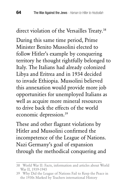direct violation of the Versailles Treaty.<sup>38</sup>

During this same time period, Prime Minister Benito Mussolini elected to follow Hitler's example by conquering territory he thought rightfully belonged to Italy. The Italians had already colonized Libya and Eritrea and in 1934 decided to invade Ethiopia. Mussolini believed this annexation would provide more job opportunities for unemployed Italians as well as acquire more mineral resources to drive back the effects of the world economic depression.39

These and other flagrant violations by Hitler and Mussolini confirmed the incompetence of the League of Nations. Nazi Germany's goal of expansion through the methodical conquering and

<sup>38</sup> World War II: Facts, information and articles about World War II, 1939-1945

<sup>39</sup> Why Did the League of Nations Fail to Keep the Peace in the 1930s Marked by Teachers international History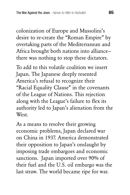colonization of Europe and Mussolini's desire to re-create the "Roman Empire" by overtaking parts of the Mediterranean and Africa brought both nations into alliance there was nothing to stop these dictators.

To add to this volatile coalition we insert Japan. The Japanese deeply resented America's refusal to recognize their "Racial Equality Clause" in the covenants of the League of Nations. This rejection along with the League's failure to flex its authority led to Japan's alienation from the **West** 

As a means to resolve their growing economic problems, Japan declared war on China in 1937. America demonstrated their opposition to Japan's onslaught by imposing trade embargoes and economic sanctions. Japan imported over 90% of their fuel and the U.S. oil embargo was the last straw. The world became ripe for war.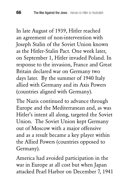In late August of 1939, Hitler reached an agreement of non-intervention with Joseph Stalin of the Soviet Union known as the Hitler-Stalin Pact. One week later, on September 1, Hitler invaded Poland. In response to the invasion, France and Great Britain declared war on Germany two days later. By the summer of 1940 Italy allied with Germany and its Axis Powers (countries aligned with Germany).

The Nazis continued to advance through Europe and the Mediterranean and, as was Hitler's intent all along, targeted the Soviet Union. The Soviet Union kept Germany out of Moscow with a major offensive and as a result became a key player within the Allied Powers (countries opposed to Germany).

America had avoided participation in the war in Europe at all cost but when Japan attacked Pearl Harbor on December 7, 1941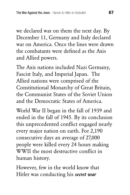we declared war on them the next day. By December 11, Germany and Italy declared war on America. Once the lines were drawn the combatants were defined as the Axis and Allied powers.

The Axis nations included Nazi Germany, Fascist Italy, and Imperial Japan. The Allied nations were comprised of the Constitutional Monarchy of Great Britain, the Communist States of the Soviet Union and the Democratic States of America.

World War II began in the fall of 1939 and ended in the fall of 1945. By its conclusion this unprecedented conflict engaged nearly every major nation on earth. For 2,190 consecutive days an average of 27,000 people were killed every 24 hours making WWII the most destructive conflict in human history.

However, few in the world know that Hitler was conducting his *secret war*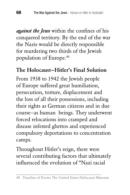*against the Jews* within the confines of his conquered territory. By the end of the war the Nazis would be directly responsible for murdering two thirds of the Jewish population of Europe.40

### The Holocaust—Hitler's Final Solution

From 1938 to 1942 the Jewish people of Europe suffered great humiliation, persecution, torture, displacement and the loss of all their possessions, including their rights as German citizens and in due course—as human beings. They underwent forced relocations into cramped and disease infested ghettos and experienced compulsory deportations to concentration camps.

Throughout Hitler's reign, there were several contributing factors that ultimately influenced the evolution of "Nazi racial

<sup>40</sup> Timeline of Events The United States Holocaust Museum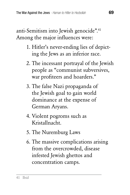anti-Semitism into Jewish genocide".41 Among the major influences were:

- 1. Hitler's never-ending lies of depicting the Jews as an inferior race.
- 2. The incessant portrayal of the Jewish people as "communist subversives, war profiteers and hoarders."
- 3. The false Nazi propaganda of the Jewish goal to gain world dominance at the expense of German Aryans.
- 4. Violent pogroms such as Kristallnacht.
- 5. The Nuremburg Laws
- 6. The massive complications arising from the overcrowded, disease infested Jewish ghettos and concentration camps.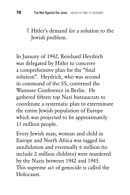### 7. Hitler's demand for a solution to the Jewish problem.

In January of 1942, Reinhard Heydrich was delegated by Hitler to conceive a comprehensive plan for the "final solution". Heydrich, who was second in command of the SS, convened the Wannsee Conference in Berlin. He gathered fifteen top Nazi bureaucrats to coordinate a systematic plan to exterminate the entire Jewish population of Europe which was projected to be approximately 11 million people.

Every Jewish man, woman and child in Europe and North Africa was tagged for annihilation and eventually 6 million (to include 2 million children) were murdered by the Nazis between 1942 and 1945. This supreme act of genocide is called the Holocaust.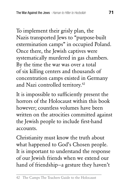To implement their grisly plan, the Nazis transported Jews to "purpose-built extermination camps" in occupied Poland. Once there, the Jewish captives were systematically murdered in gas chambers. By the time the war was over a total of six killing centers and thousands of concentration camps existed in Germany and Nazi controlled territory.<sup>42</sup>

It is impossible to sufficiently present the horrors of the Holocaust within this book however; countless volumes have been written on the atrocities committed against the Jewish people to include first-hand accounts.

Christianity must know the truth about what happened to God's Chosen people. It is important to understand the response of our Jewish friends when we extend our hand of friendship—a gesture they haven't

<sup>42</sup> The Camps The Teachers Guide to the Holocaust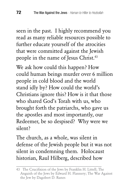seen in the past. I highly recommend you read as many reliable resources possible to further educate yourself of the atrocities that were committed against the Jewish people in the name of Jesus Christ.<sup>43</sup>

We ask how could this happen? How could human beings murder over 6 million people in cold blood and the world stand idly by? How could the world's Christians ignore this? How is it that those who shared God's Torah with us, who brought forth the patriarchs, who gave us the apostles and most importantly, our Redeemer, be so despised? Why were we silent?

The church, as a whole, was silent in defense of the Jewish people but it was not silent in condemning them. Holocaust historian, Raul Hilberg, described how

<sup>43</sup> The Crucifixion of the Jews by Franklin H. Littell; The Anguish of the Jews by Edward H. Flannery; The War Against the Jew by Dagobert D. Runes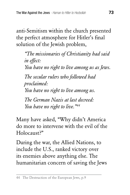anti-Semitism within the church presented the perfect atmosphere for Hitler's final solution of the Jewish problem,

*"The missionaries of Christianity had said in effect: You have no right to live among us as Jews. The secular rulers who followed had proclaimed: You have no right to live among us. The German Nazis at last decreed: You have no right to live."44*

Many have asked, "Why didn't America do more to intervene with the evil of the Holocaust?"

During the war, the Allied Nations, to include the U.S., ranked victory over its enemies above anything else. The humanitarian concern of saving the Jews

<sup>44</sup> The Destruction of the European Jews, p.9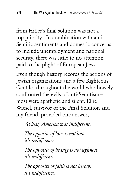from Hitler's final solution was not a top priority. In combination with anti-Semitic sentiments and domestic concerns to include unemployment and national security, there was little to no attention paid to the plight of European Jews.

Even though history records the actions of Jewish organizations and a few Righteous Gentiles throughout the world who bravely confronted the evils of anti-Semitism most were apathetic and silent. Ellie Wiesel, survivor of the Final Solution and my friend, provided one answer;

*At best, America was indifferent.*

*The opposite of love is not hate, it's indifference.*

*The opposite of beauty is not ugliness, it's indifference.*

*The opposite of faith is not heresy, it's indifference.*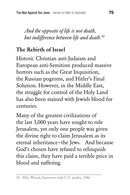*And the opposite of life is not death, but indifference between life and death.*<sup>45</sup>

## The Rebirth of Israel

Historic Christian anti-Judaism and European anti-Semitism produced massive horrors such as the Great Inquisition, the Russian pogroms, and Hitler's Final Solution. However, in the Middle East, the struggle for control of the Holy Land has also been stained with Jewish blood for centuries.

Many of the greatest civilizations of the last 3,000 years have sought to rule Jerusalem, yet only one people was given the divine right to claim Jerusalem as its eternal inheritance—the Jews. And because God's chosen have refused to relinquish this claim, they have paid a terrible price in blood and suffering.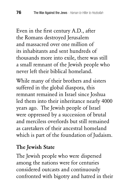Even in the first century A.D., after the Romans destroyed Jerusalem and massacred over one million of its inhabitants and sent hundreds of thousands more into exile, there was still a small remnant of the Jewish people who never left their biblical homeland.

While many of their brothers and sisters suffered in the global diaspora, this remnant remained in Israel since Joshua led them into their inheritance nearly 4000 years ago. The Jewish people of Israel were oppressed by a succession of brutal and merciless overlords but still remained as caretakers of their ancestral homeland which is part of the foundation of Judaism.

#### The Jewish State

The Jewish people who were dispersed among the nations were for centuries considered outcasts and continuously confronted with bigotry and hatred in their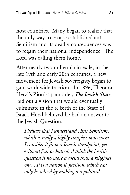host countries. Many began to realize that the only way to escape established anti-Semitism and its deadly consequences was to regain their national independence. The Lord was calling them home.

After nearly two millennia in exile, in the late 19th and early 20th centuries, a new movement for Jewish sovereignty began to gain worldwide traction. In 1896, Theodor Herzl's Zionist pamphlet, *The Jewish State*, laid out a vision that would eventually culminate in the re-birth of the State of Israel. Herzl believed he had an answer to the Jewish Question,

*I believe that I understand Anti-Semitism, which is really a highly complex movement. I consider it from a Jewish standpoint, yet without fear or hatred...I think the Jewish question is no more a social than a religious one... It is a national question, which can only be solved by making it a political*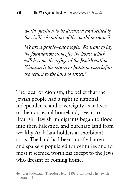*world-question to be discussed and settled by the civilized nations of the world in council.*

*We are a people—one people. We want to lay the foundation stone, for the house which will become the refuge of the Jewish nation. Zionism is the return to Judaism even before the return to the land of Israel.*<sup>46</sup>

The ideal of Zionism, the belief that the Jewish people had a right to national independence and sovereignty as natives of their ancestral homeland, began to flourish. Jewish immigrants began to flood into then Palestine, and purchase land from wealthy Arab landholders at exorbitant costs. The land had been mostly barren and sparsely populated for centuries and to most it seemed worthless except to the Jews who dreamt of coming home.

<sup>46</sup> Der Judenstaat Theodor Herzl 1896 Translated The Jewish State p.5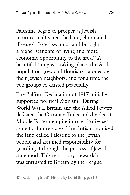Palestine began to prosper as Jewish returnees cultivated the land, eliminated disease-infested swamps, and brought a higher standard of living and more economic opportunity to the area. $47$  A beautiful thing was taking place—the Arab population grew and flourished alongside their Jewish neighbors, and for a time the two groups co-existed peacefully.

The Balfour Declaration of 1917 initially supported political Zionism. During World War I, Britain and the Allied Powers defeated the Ottoman Turks and divided its Middle Eastern empire into territories set aside for future states. The British promised the land called Palestine to the Jewish people and assumed responsibility for guarding it through the process of Jewish statehood. This temporary stewardship was entrusted to Britain by the League

<sup>47</sup> Reclaiming Israel's History by David Brog, p. 61-81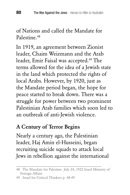of Nations and called the Mandate for Palestine<sup>48</sup>

In 1919, an agreement between Zionist leader, Chaim Weizmann and the Arab leader, Emir Faisal was accepted.<sup>49</sup> The terms allowed for the idea of a Jewish state in the land which protected the rights of local Arabs. However, by 1920, just as the Mandate period began, the hope for peace started to break down. There was a struggle for power between two prominent Palestinian Arab families which soon led to an outbreak of anti-Jewish violence.

#### A Century of Terror Begins

Nearly a century ago, the Palestinian leader, Haj Amin el-Husseini, began recruiting suicide squads to attack local Jews in rebellion against the international

<sup>48</sup> The Mandate for Palestine July 24, 1922 Israel Ministry of Foreign Affairs

<sup>49</sup> Israel for Critical Thinkers p. 48-49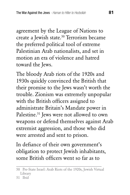agreement by the League of Nations to create a Jewish state.<sup>50</sup> Terrorism became the preferred political tool of extreme Palestinian Arab nationalists, and set in motion an era of violence and hatred toward the Jews.

The bloody Arab riots of the 1920s and 1930s quickly convinced the British that their promise to the Jews wasn't worth the trouble. Zionism was extremely unpopular with the British officers assigned to administrate Britain's Mandate power in Palestine.<sup>51</sup> Jews were not allowed to own weapons or defend themselves against Arab extremist aggression, and those who did were arrested and sent to prison.

In defiance of their own government's obligation to protect Jewish inhabitants, some British officers went so far as to

<sup>50</sup> Pre-State Israel: Arab Riots of the 1920s, Jewish Virtual Library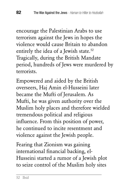encourage the Palestinian Arabs to use terrorism against the Jews in hopes the violence would cause Britain to abandon entirely the idea of a Jewish state.<sup>52</sup> Tragically, during the British Mandate period, hundreds of Jews were murdered by terrorists.

Empowered and aided by the British overseers, Haj Amin el-Husseini later became the Mufti of Jerusalem. As Mufti, he was given authority over the Muslim holy places and therefore wielded tremendous political and religious influence. From this position of power, he continued to incite resentment and violence against the Jewish people.

Fearing that Zionism was gaining international financial backing, el-Husseini started a rumor of a Jewish plot to seize control of the Muslim holy sites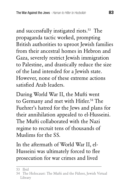and successfully instigated riots.<sup>53</sup> The propaganda tactic worked, prompting British authorities to uproot Jewish families from their ancestral homes in Hebron and Gaza, severely restrict Jewish immigration to Palestine, and drastically reduce the size of the land intended for a Jewish state. However, none of these extreme actions satisfied Arab leaders.

During World War II, the Mufti went to Germany and met with Hitler.<sup>54</sup> The Fuehrer's hatred for the Jews and plans for their annihilation appealed to el-Husseini. The Mufti collaborated with the Nazi regime to recruit tens of thousands of Muslims for the SS.

In the aftermath of World War II, el-Husseini was ultimately forced to flee prosecution for war crimes and lived

<sup>53</sup> Ibid

<sup>54</sup> The Holocaust: The Mufti and the Führer, Jewish Virtual Library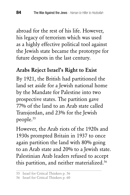abroad for the rest of his life. However, his legacy of terrorism which was used as a highly effective political tool against the Jewish state became the prototype for future despots in the last century.

#### Arabs Reject Israel's Right to Exist

By 1921, the British had partitioned the land set aside for a Jewish national home by the Mandate for Palestine into two prospective states. The partition gave 77% of the land to an Arab state called Transjordan, and 23% for the Jewish people.55

However, the Arab riots of the 1920s and 1930s prompted Britain in 1937 to once again partition the land with 80% going to an Arab state and 20% to a Jewish state. Palestinian Arab leaders refused to accept this partition, and neither materialized.<sup>56</sup>

<sup>55</sup> Israel for Critical Thinkers p. 56

<sup>56</sup> Israel for Critical Thinkers p. 60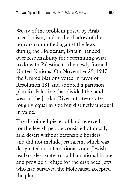Weary of the problem posed by Arab rejectionism, and in the shadow of the horrors committed against the Jews during the Holocaust, Britain handed over responsibility for determining what to do with Palestine to the newly-formed United Nations. On November 29, 1947, the United Nations voted in favor of Resolution 181 and adopted a partition plan for Palestine that divided the land west of the Jordan River into two states roughly equal in size but distinctly unequal in value.

The disjointed pieces of land reserved for the Jewish people consisted of mostly arid desert without defensible borders, and did not include Jerusalem, which was designated an international zone. Jewish leaders, desperate to build a national home and provide a refuge for the displaced Jews who had survived the Holocaust, accepted the plan.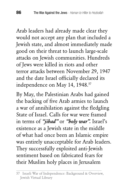Arab leaders had already made clear they would not accept any plan that included a Jewish state, and almost immediately made good on their threat to launch large-scale attacks on Jewish communities. Hundreds of Jews were killed in riots and other terror attacks between November 29, 1947 and the date Israel officially declared its independence on May 14, 1948.<sup>57</sup>

By May, the Palestinian Arabs had gained the backing of five Arab armies to launch a war of annihilation against the fledgling State of Israel. Calls for war were framed in terms of *"jihad"* or *"holy war".* Israel's existence as a Jewish state in the middle of what had once been an Islamic empire was entirely unacceptable for Arab leaders. They successfully exploited anti-Jewish sentiment based on fabricated fears for their Muslim holy places in Jerusalem

<sup>57</sup> Israeli War of Independence: Background & Overview, Jewish Virtual Library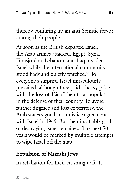thereby conjuring up an anti-Semitic fervor among their people.

As soon as the British departed Israel, the Arab armies attacked. Egypt, Syria, Transjordan, Lebanon, and Iraq invaded Israel while the international community stood back and quietly watched.<sup>58</sup> To everyone's surprise, Israel miraculously prevailed, although they paid a heavy price with the loss of 1% of their total population in the defense of their country. To avoid further disgrace and loss of territory, the Arab states signed an armistice agreement with Israel in 1949. But their insatiable goal of destroying Israel remained. The next 70 years would be marked by multiple attempts to wipe Israel off the map.

## Expulsion of Mizrahi Jews

In retaliation for their crushing defeat,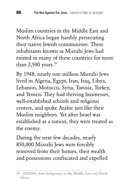Muslim countries in the Middle East and North Africa began harshly persecuting their native Jewish communities. These inhabitants known as Mizrahi Jews had existed in many of these countries for more than  $2,500$  years.<sup>59</sup>

By 1948, nearly one million Mizrahi Jews lived in Algeria, Egypt, Iran, Iraq, Libya, Lebanon, Morocco, Syria, Tunisia, Turkey, and Yemen. They had thriving businesses, well-established schools and religious centers, and spoke Arabic just like their Muslim neighbors. Yet after Israel was established as a nation, they were treated as the enemy.

During the next few decades, nearly 850,000 Mizrahi Jews were forcibly removed from their homes, their wealth and possessions confiscated and expelled

<sup>59</sup> JIMENA: Jews Indigenous to the Middle East and North Africa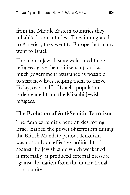from the Middle Eastern countries they inhabited for centuries. They immigrated to America, they went to Europe, but many went to Israel.

The reborn Jewish state welcomed these refugees, gave them citizenship and as much government assistance as possible to start new lives helping them to thrive. Today, over half of Israel's population is descended from the Mizrahi Jewish refugees.

## The Evolution of Anti-Semitic Terrorism

The Arab extremists bent on destroying Israel learned the power of terrorism during the British Mandate period. Terrorism was not only an effective political tool against the Jewish state which weakened it internally; it produced external pressure against the nation from the international community.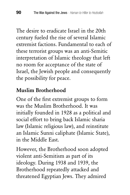The desire to eradicate Israel in the 20th century fueled the rise of several Islamic extremist factions. Fundamental to each of these terrorist groups was an anti-Semitic interpretation of Islamic theology that left no room for acceptance of the state of Israel, the Jewish people and consequently the possibility for peace.

## Muslim Brotherhood

One of the first extremist groups to form was the Muslim Brotherhood. It was initially founded in 1928 as a political and social effort to bring back Islamic sharia law (Islamic religious law), and reinstitute an Islamic Sunni caliphate (Islamic State), in the Middle East.

However, the Brotherhood soon adopted violent anti-Semitism as part of its ideology. During 1938 and 1939, the Brotherhood repeatedly attacked and threatened Egyptian Jews. They admired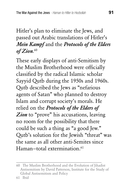## Hitler's plan to eliminate the Jews, and passed out Arabic translations of Hitler's *Mein Kampf* and the *Protocols of the Elders of Zion*. 60

These early displays of anti-Semitism by the Muslim Brotherhood were officially classified by the radical Islamic scholar Sayyid Qutb during the 1950s and 1960s. Qutb described the Jews as "nefarious agents of Satan" who planned to destroy Islam and corrupt society's morals. He relied on the *Protocols of the Elders of*  Zion to "prove" his accusations, leaving no room for the possibility that there could be such a thing as "a good Jew." Qutb's solution for the Jewish "threat" was the same as all other anti-Semites since Haman–total extermination.<sup>61</sup>

<sup>60</sup> The Muslim Brotherhood and the Evolution of Jihadist Antisemitism by David Patterson, Institute for the Study of Global Antisemitism and Policy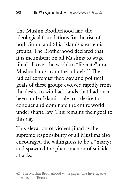The Muslim Brotherhood laid the ideological foundations for the rise of both Sunni and Shia Islamists extremist groups. The Brotherhood declared that it is incumbent on all Muslims to wage iihad all over the world to "liberate" non-Muslim lands from the infidels.<sup>62</sup> The radical extremist theology and political goals of these groups evolved rapidly from the desire to win back lands that had once been under Islamic rule to a desire to conquer and dominate the entire world under sharia law. This remains their goal to this day.

This elevation of violent jihad as the supreme responsibility of all Muslims also encouraged the willingness to be a "martyr" and spawned the phenomenon of suicide attacks.

<sup>62</sup> The Muslim Brotherhood white paper, The Investigative Project on Terrorism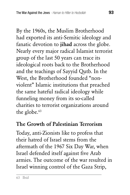By the 1960s, the Muslim Brotherhood had exported its anti-Semitic ideology and fanatic devotion to jihad across the globe. Nearly every major radical Islamist terrorist group of the last 50 years can trace its ideological roots back to the Brotherhood and the teachings of Sayyid Qutb. In the West, the Brotherhood founded "nonviolent" Islamic institutions that preached the same hateful radical ideology while funneling money from its so-called charities to terrorist organizations around the globe.<sup>63</sup>

#### The Growth of Palestinian Terrorism

Today, anti-Zionists like to profess that their hatred of Israel stems from the aftermath of the 1967 Six Day War, when Israel defended itself against five Arab armies. The outcome of the war resulted in Israel winning control of the Gaza Strip,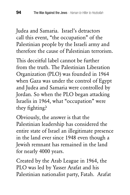Judea and Samaria. Israel's detractors call this event, "the occupation" of the Palestinian people by the Israeli army and therefore the cause of Palestinian terrorism.

This deceitful label cannot be further from the truth. The Palestinian Liberation Organization (PLO) was founded in 1964 when Gaza was under the control of Egypt and Judea and Samaria were controlled by Jordan. So when the PLO began attacking Israelis in 1964, what "occupation" were they fighting?

Obviously, the answer is that the Palestinian leadership has considered the entire state of Israel an illegitimate presence in the land ever since 1948 even though a Jewish remnant has remained in the land for nearly 4000 years.

Created by the Arab League in 1964, the PLO was led by Yasser Arafat and his Palestinian nationalist party, Fatah. Arafat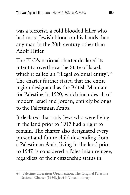was a terrorist, a cold-blooded killer who had more Jewish blood on his hands than any man in the 20th century other than Adolf Hitler.

The PLO's national charter declared its intent to overthrow the State of Israel, which it called an "illegal colonial entity".<sup>64</sup> The charter further stated that the entire region designated as the British Mandate for Palestine in 1920, which includes all of modern Israel and Jordan, entirely belongs to the Palestinian Arabs.

It declared that only Jews who were living in the land prior to 1917 had a right to remain. The charter also designated every present and future child descending from a Palestinian Arab, living in the land prior to 1947, is considered a Palestinian refugee, regardless of their citizenship status in

<sup>64</sup> Palestine Liberation Organization: The Original Palestine National Charter (1964), Jewish Virtual Library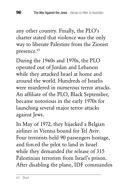any other country. Finally, the PLO's charter stated that violence was the only way to liberate Palestine from the Zionist presence.<sup>65</sup>

During the 1960s and 1970s, the PLO operated out of Jordan and Lebanon while they attacked Israel at home and around the world. Hundreds of Israelis were murdered in numerous terror attacks. An affiliate of the PLO, Black September, became notorious in the early 1970s for launching several major terror attacks against Jews.

In May of 1972, they hijacked a Belgian airliner in Vienna bound for Tel Aviv. Four terrorists held 90 passengers hostage, and forced the pilot to land in Israel while they demanded the release of 315 Palestinian terrorists from Israel's prison. After disabling the plane, IDF commandos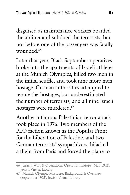disguised as maintenance workers boarded the airliner and subdued the terrorists, but not before one of the passengers was fatally wounded.<sup>66</sup>

Later that year, Black September operatives broke into the apartments of Israeli athletes at the Munich Olympics, killed two men in the initial scuffle, and took nine more men hostage. German authorities attempted to rescue the hostages, but underestimated the number of terrorists, and all nine Israeli hostages were murdered.<sup>67</sup>

Another infamous Palestinian terror attack took place in 1976. Two members of the PLO faction known as the Popular Front for the Liberation of Palestine, and two German terrorists' sympathizers, hijacked a flight from Paris and forced the plane to

<sup>66</sup> Israel's Wars & Operations: Operation Isotope (May 1972), Jewish Virtual Library

<sup>67</sup> Munich Olympic Massacre: Background & Overview (September 1972), Jewish Virtual Library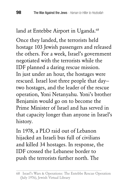#### land at Entebbe Airport in Uganda.<sup>68</sup>

Once they landed, the terrorists held hostage 103 Jewish passengers and released the others. For a week, Israel's government negotiated with the terrorists while the IDF planned a daring rescue mission. In just under an hour, the hostages were rescued. Israel lost three people that day two hostages, and the leader of the rescue operation, Yoni Netanyahu. Yoni's brother Benjamin would go on to become the Prime Minister of Israel and has served in that capacity longer than anyone in Israel's history.

In 1978, a PLO raid out of Lebanon hijacked an Israeli bus full of civilians and killed 34 hostages. In response, the IDF crossed the Lebanese border to push the terrorists further north. The

<sup>68</sup> Israel's Wars & Operations: The Entebbe Rescue Operation (July 1976), Jewish Virtual Library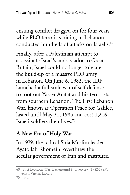ensuing conflict dragged on for four years while PLO terrorists hiding in Lebanon conducted hundreds of attacks on Israelis.69

Finally, after a Palestinian attempt to assassinate Israel's ambassador to Great Britain, Israel could no longer tolerate the build-up of a massive PLO army in Lebanon. On June 6, 1982, the IDF launched a full-scale war of self-defense to root out Yasser Arafat and his terrorists from southern Lebanon. The First Lebanon War, known as Operation Peace for Galilee, lasted until May 31, 1985 and cost 1,216 Israeli soldiers their lives<sup>70</sup>

## A New Era of Holy War

In 1979, the radical Shia Muslim leader Ayatollah Khomeini overthrew the secular government of Iran and instituted

70 Ibid

<sup>69</sup> First Lebanon War: Background & Overview (1982-1985), Jewish Virtual Library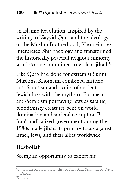an Islamic Revolution. Inspired by the writings of Sayyid Qutb and the ideology of the Muslim Brotherhood, Khomeini reinterpreted Shia theology and transformed the historically peaceful religious minority sect into one committed to violent jihad.<sup>71</sup>

Like Qutb had done for extremist Sunni Muslims, Khomeini combined historic anti-Semitism and stories of ancient Jewish foes with the myths of European anti-Semitism portraying Jews as satanic, bloodthirsty creatures bent on world domination and societal corruption.<sup>72</sup> Iran's radicalized government during the 1980s made jihad its primary focus against Israel, Jews, and their allies worldwide.

# Hezbollah

Seeing an opportunity to export his

72 Ibid

<sup>71</sup> On the Roots and Branches of Shi'a Anti-Semitism by David Daoud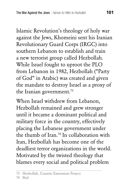Islamic Revolution's theology of holy war against the Jews, Khomeini sent his Iranian Revolutionary Guard Corps (IRGC) into southern Lebanon to establish and train a new terrorist group called Hezbollah. While Israel fought to uproot the PLO from Lebanon in 1982, Hezbollah ("Party of God" in Arabic) was created and given the mandate to destroy Israel as a proxy of the Iranian government.<sup>73</sup>

When Israel withdrew from Lebanon, Hezbollah remained and grew stronger until it became a dominant political and military force in the country, effectively placing the Lebanese government under the thumb of Iran.74 In collaboration with Iran, Hezbollah has become one of the deadliest terror organizations in the world. Motivated by the twisted theology that blames every social and political problem

<sup>73</sup> Hezbollah, Counter Extremism Project

<sup>74</sup> Ibid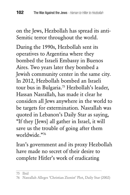on the Jews, Hezbollah has spread its anti-Semitic terror throughout the world.

During the 1990s, Hezbollah sent its operatives to Argentina where they bombed the Israeli Embassy in Buenos Aires. Two years later they bombed a Jewish community center in the same city. In 2012, Hezbollah bombed an Israeli tour bus in Bulgaria.75 Hezbollah's leader, Hassan Nasrallah, has made it clear he considers all Jews anywhere in the world to be targets for extermination. Nasrallah was quoted in Lebanon's Daily Star as saying, "If they [Jews] all gather in Israel, it will save us the trouble of going after them worldwide."76

Iran's government and its proxy Hezbollah have made no secret of their desire to complete Hitler's work of eradicating

<sup>75</sup> Ibid

<sup>76</sup> Nasrallah Alleges 'Christian Zionist' Plot, Daily Star (2002)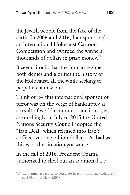the Jewish people from the face of the earth. In 2006 and 2016, Iran sponsored an International Holocaust Cartoon Competition and awarded the winners thousands of dollars in prize money. $77$ 

It seems ironic that the Iranian regime both denies and glorifies the history of the Holocaust, all the while seeking to perpetrate a new one.

Think of it— this international sponsor of terror was on the verge of bankruptcy as a result of world economic sanctions, yet, astonishingly, in July of 2015 the United Nations Security Council adopted the "Iran Deal" which released into Iran's coffers over one billion dollars. As bad as this was—the situation got worse.

In the fall of 2016, President Obama authorized to shell out an additional 1.7

<sup>77</sup> Iran launches festival to celebrate Israel's 'imminent collapse', Israel National News (2018)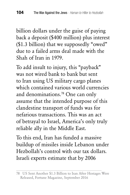billion dollars under the guise of paying back a deposit (\$400 million) plus interest (\$1.3 billion) that we supposedly "owed" due to a failed arms deal made with the Shah of Iran in 1979.

To add insult to injury, this "payback" was not wired bank to bank but sent to Iran using US military cargo planes which contained various world currencies and denominations.78 One can only assume that the intended purpose of this clandestine transport of funds was for nefarious transactions. This was an act of betrayal to Israel, America's only truly reliable ally in the Middle East.

To this end, Iran has funded a massive buildup of missiles inside Lebanon under Hezbollah's control with our tax dollars. Israeli experts estimate that by 2006

<sup>78</sup> US Sent Another \$1.3 Billion to Iran After Hostages Were Released, Fortune Magazine, September 2016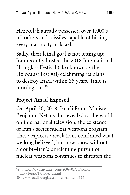Hezbollah already possessed over 1,000's of rockets and missiles capable of hitting every major city in Israel.79

Sadly, their lethal goal is not letting up; Iran recently hosted the 2018 International Hourglass Festival (also known as the Holocaust Festival) celebrating its plans to destroy Israel within 25 years. Time is running out. $80$ 

## Project Amad Exposed

On April 30, 2018, Israeli Prime Minister Benjamin Netanyahu revealed to the world on international television, the existence of Iran's secret nuclear weapons program. These explosive revelations confirmed what we long believed, but now know without a doubt—Iran's unrelenting pursuit of nuclear weapons continues to threaten the

<sup>79</sup> https://www.nytimes.com/2006/07/17/world/ middleeast/17mideast.html

<sup>80</sup> www.israelhourglass.com/en/content/314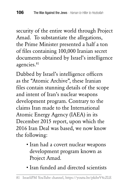security of the entire world through Project Amad. To substantiate the allegations, the Prime Minister presented a half a ton of files containing 100,000 Iranian secret documents obtained by Israel's intelligence agencies.<sup>81</sup>

Dubbed by Israel's intelligence officers as the "Atomic Archive", these Iranian files contain stunning details of the scope and intent of Iran's nuclear weapons development program. Contrary to the claims Iran made to the International Atomic Energy Agency (IAEA) in its December 2015 report, upon which the 2016 Iran Deal was based, we now know the following:

- Iran had a covert nuclear weapons development program known as Project Amad.
- Iran funded and directed scientists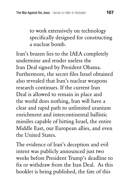to work extensively on technology specifically designed for constructing a nuclear bomb.

Iran's brazen lies to the IAEA completely undermine and render useless the Iran Deal signed by President Obama. Furthermore, the secret files Israel obtained also revealed that Iran's nuclear weapons research continues. If the current Iran Deal is allowed to remain in place and the world does nothing, Iran will have a clear and rapid path to unlimited uranium enrichment and intercontinental ballistic missiles capable of hitting Israel, the entire Middle East, our European allies, and even the United States.

The evidence of Iran's deception and evil intent was publicly announced just two weeks before President Trump's deadline to fix or withdraw from the Iran Deal. As this booklet is being published, the fate of this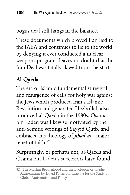bogus deal still hangs in the balance.

These documents which proved Iran lied to the IAEA and continues to lie to the world by denying it ever conducted a nuclear weapons program—leaves no doubt that the Iran Deal was fatally flawed from the start.

# Al-Qaeda

The era of Islamic fundamentalist revival and resurgence of calls for holy war against the Jews which produced Iran's Islamic Revolution and generated Hezbollah also produced al-Qaeda in the 1980s. Osama bin Laden was likewise motivated by the anti-Semitic writings of Sayyid Qutb, and embraced his theology of *jihad* as a major tenet of faith 82

# Surprisingly, or perhaps not, al-Qaeda and Osama bin Laden's successors have found

<sup>82</sup> The Muslim Brotherhood and the Evolution of Jihadist Antisemitism by David Patterson, Institute for the Study of Global Antisemtism and Policy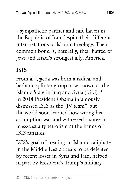a sympathetic partner and safe haven in the Republic of Iran despite their different interpretations of Islamic theology. Their common bond is, naturally, their hatred of Jews and Israel's strongest ally, America.

## ISIS

From al-Qaeda was born a radical and barbaric splinter group now known as the Islamic State in Iraq and Syria (ISIS).<sup>83</sup> In 2014 President Obama infamously dismissed ISIS as the "JV team", but the world soon learned how wrong his assumption was and witnessed a surge in mass-casualty terrorism at the hands of ISIS fanatics.

ISIS's goal of creating an Islamic caliphate in the Middle East appears to be defeated by recent losses in Syria and Iraq, helped in part by President's Trump's military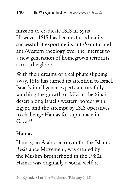mission to eradicate ISIS in Syria. However, ISIS has been extraordinarily successful at exporting its anti-Semitic and anti-Western theology over the internet to a new generation of homegrown terrorists across the globe.

With their dreams of a caliphate slipping away, ISIS has turned its attention to Israel. Israel's intelligence experts are carefully watching the growth of ISIS in the Sinai desert along Israel's western border with Egypt, and the attempt by ISIS operatives to challenge Hamas for supremacy in Gaza.84

### Hamas

Hamas, an Arabic acronym for the Islamic Resistance Movement, was created by the Muslim Brotherhood in the 1980s. Hamas was originally a social welfare

<sup>84</sup> Episode 84 of The Watchman (February 2018)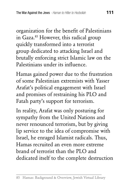organization for the benefit of Palestinians in Gaza.<sup>85</sup> However, this radical group quickly transformed into a terrorist group dedicated to attacking Israel and brutally enforcing strict Islamic law on the Palestinians under its influence.

Hamas gained power due to the frustration of some Palestinian extremists with Yasser Arafat's political engagement with Israel and promises of restraining his PLO and Fatah party's support for terrorism.

In reality, Arafat was only posturing for sympathy from the United Nations and never renounced terrorism, but by giving lip service to the idea of compromise with Israel, he enraged Islamist radicals. Thus, Hamas recruited an even more extreme brand of terrorist than the PLO and dedicated itself to the complete destruction

<sup>85</sup> Hamas: Background & Overview, Jewish Virtual Library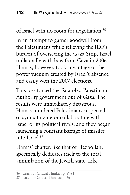of Israel with no room for negotiation.<sup>86</sup>

In an attempt to garner goodwill from the Palestinians while relieving the IDF's burden of overseeing the Gaza Strip, Israel unilaterally withdrew from Gaza in 2006. Hamas, however, took advantage of the power vacuum created by Israel's absence and easily won the 2007 elections.

This loss forced the Fatah-led Palestinian Authority government out of Gaza. The results were immediately disastrous. Hamas murdered Palestinians suspected of sympathizing or collaborating with Israel or its political rivals, and they began launching a constant barrage of missiles into Israel<sup>87</sup>

Hamas' charter, like that of Hezbollah, specifically dedicates itself to the total annihilation of the Jewish state. Like

<sup>86</sup> Israel for Critical Thinkers p. 87-91

<sup>87</sup> Israel for Critical Thinkers p. 96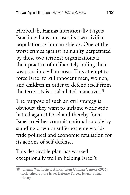Hezbollah, Hamas intentionally targets Israeli civilians and uses its own civilian population as human shields. One of the worst crimes against humanity perpetrated by these two terrorist organizations is their practice of deliberately hiding their weapons in civilian areas. This attempt to force Israel to kill innocent men, women, and children in order to defend itself from the terrorists is a calculated maneuver.<sup>88</sup>

The purpose of such an evil strategy is obvious: they want to inflame worldwide hatred against Israel and thereby force Israel to either commit national suicide by standing down or suffer extreme worldwide political and economic retaliation for its actions of self-defense.

## This despicable plan has worked exceptionally well in helping Israel's

<sup>88</sup> Hamas War Tactics: Attacks from Civilian Centers (2016), unclassified by the Israel Defense Forces, Jewish Virtual Library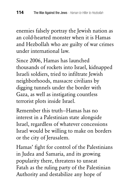enemies falsely portray the Jewish nation as an cold-hearted monster when it is Hamas and Hezbollah who are guilty of war crimes under international law.

Since 2006, Hamas has launched thousands of rockets into Israel, kidnapped Israeli soldiers, tried to infiltrate Jewish neighborhoods, massacre civilians by digging tunnels under the border with Gaza, as well as instigating countless terrorist plots inside Israel.

Remember this truth—Hamas has no interest in a Palestinian state alongside Israel, regardless of whatever concessions Israel would be willing to make on borders or the city of Jerusalem.

Hamas' fight for control of the Palestinians in Judea and Samaria, and its growing popularity there, threatens to unseat Fatah as the ruling party of the Palestinian Authority and destabilize any hope of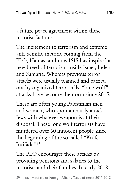a future peace agreement within these terrorist factions.

The incitement to terrorism and extreme anti-Semitic rhetoric coming from the PLO, Hamas, and now ISIS has inspired a new breed of terrorism inside Israel, Judea and Samaria. Whereas previous terror attacks were usually planned and carried out by organized terror cells, "lone wolf" attacks have become the norm since 2015.

These are often young Palestinian men and women, who spontaneously attack Jews with whatever weapon is at their disposal. These lone wolf terrorists have murdered over 60 innocent people since the beginning of the so-called "Knife Intifada".89

The PLO encourages these attacks by providing pensions and salaries to the terrorists and their families. In early 2018,

89 Israel Ministry of Foreign Affairs, Wave of terror 2015-2018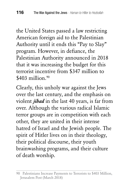the United States passed a law restricting American foreign aid to the Palestinian Authority until it ends this "Pay to Slay" program. However, in defiance, the Palestinian Authority announced in 2018 that it was increasing the budget for this terrorist incentive from \$347 million to  $$403$  million.<sup>90</sup>

Clearly, this unholy war against the Jews over the last century, and the emphasis on violent *jihad* in the last 40 years, is far from over. Although the various radical Islamic terror groups are in competition with each other, they are united in their intense hatred of Israel and the Jewish people. The spirit of Hitler lives on in their theology, their political discourse, their youth brainwashing programs, and their culture of death worship.

<sup>90</sup> Palestinians Increase Payments to Terrorists to \$403 Million, Jerusalem Post (March 2018)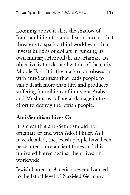Looming above it all is the shadow of Iran's ambition for a nuclear holocaust that threatens to spark a third world war. Iran invests billions of dollars in funding its own military, Hezbollah, and Hamas. Its objective is the destabilization of the entire Middle East. It is the mark of an obsession with anti-Semitism that leads people to value death more than life, and produces suffering for millions of innocent Arabs and Muslims as collateral damage in the effort to destroy the Jewish people.

#### Anti-Semitism Lives On

It is clear that anti-Semitism did not originate or end with Adolf Hitler. As I have detailed, the Jewish people have been persecuted since ancient times and this unrivaled hatred against them lives on worldwide.

Jewish hatred in America never advanced to the lethal level of Nazi-led Germany,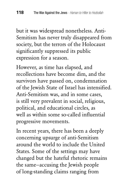but it was widespread nonetheless. Anti-Semitism has never truly disappeared from society, but the terrors of the Holocaust significantly suppressed its public expression for a season.

However, as time has elapsed, and recollections have become dim, and the survivors have passed on, condemnation of the Jewish State of Israel has intensified. Anti-Semitism was, and in some cases, is still very prevalent in social, religious, political, and educational circles, as well as within some so-called influential progressive movements.

In recent years, there has been a deeply concerning upsurge of anti-Semitism around the world to include the United States. Some of the settings may have changed but the hateful rhetoric remains the same—accusing the Jewish people of long-standing claims ranging from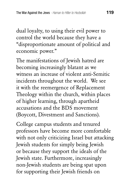dual loyalty, to using their evil power to control the world because they have a "disproportionate amount of political and economic power."

The manifestations of Jewish hatred are becoming increasingly blatant as we witness an increase of violent anti-Semitic incidents throughout the world. We see it with the reemergence of Replacement Theology within the church, within places of higher learning, through apartheid accusations and the BDS movement (Boycott, Divestment and Sanctions).

College campus students and tenured professors have become more comfortable with not only criticizing Israel but attacking Jewish students for simply being Jewish or because they support the ideals of the Jewish state. Furthermore, increasingly non-Jewish students are being spat upon for supporting their Jewish friends on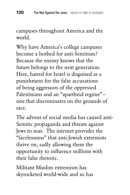campuses throughout America and the world.

Why have America's college campuses become a hotbed for anti-Semitism? Because the enemy knows that the future belongs to the next generation. Here, hatred for Israel is disguised as a punishment for the false accusations of being aggressors of the oppressed Palestinians and an "apartheid regime" one that discriminates on the grounds of race.

The advent of social media has caused anti-Semitic propaganda and threats against Jews to soar. The internet provides the "facelessness" that anti-Jewish extremists thrive on, sadly allowing them the opportunity to influence millions with their false rhetoric.

Militant Muslim extremism has skyrocketed world-wide and so has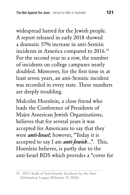widespread hatred for the Jewish people. A report released in early 2018 showed a dramatic 57% increase in anti-Semitic incidents in America compared to 2016.<sup>91</sup> For the second year in a row, the number of incidents on college campuses nearly doubled. Moreover, for the first time in at least seven years, an anti-Semitic incident was recorded in every state. These numbers are deeply troubling.

Malcolm Hoenlein, a close friend who leads the Conference of Presidents of Major American Jewish Organizations, believes that for several years it was accepted for Americans to say that they were *anti-Israel*; however, "Today it is accepted to say I am *anti-Jewish*...". This, Hoenlein believes, is partly due to the anti-Israel BDS which provides a "cover for

<sup>91 2017</sup> Audit of Anti-Semitic Incidents by the Anti-Defamation League (February 27, 2018)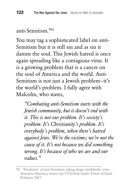#### anti-Semitism."92

You may tag a sophisticated label on anti-Semitism but it is still sin and as sin it damns the soul. This Jewish hatred is once again spreading like a contagious virus. It is a growing problem that is a cancer on the soul of America and the world. Anti-Semitism is not just a Jewish problem—it's the world's problem. I fully agree with Malcolm, who states,

*"Combating anti-Semitism starts with the Jewish community, but it doesn't end with it. This is not our problem. It's society's problem. It's Christianity's problem. It's everybody's problem, when there's hatred against Jews. We're the victims; we're not the cause of it. It's not because we did something wrong. It's because of who we are and our values."*

<sup>92 &#</sup>x27;Pandemic' of anti-Semitism taking shape worldwide, even threatens America, warns top US Jewish leader Times of Israel February 2017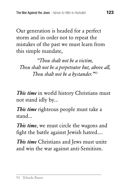Our generation is headed for a perfect storm and in order not to repeat the mistakes of the past we must learn from this simple mandate,

*"Thou shalt not be a victim, Thou shalt not be a perpetrator but, above all, Thou shalt not be a bystander."*<sup>93</sup>

*This time* in world history Christians must not stand idly by...

*This time* righteous people must take a stand...

*This time*, we must circle the wagons and fight the battle against Jewish hatred....

*This time* Christians and Jews must unite and win the war against anti-Semitism.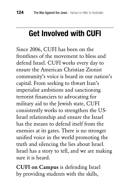# **Get Involved with CUFI**

Since 2006, CUFI has been on the frontlines of the movement to bless and defend Israel. CUFI works every day to ensure the American Christian Zionist community's voice is heard in our nation's capital. From seeking to thwart Iran's imperialist ambitions and sanctioning terrorist financiers to advocating for military aid to the Jewish state, CUFI consistently works to strengthen the US-Israel relationship and ensure the Israel has the means to defend itself from the enemies at its gates. There is no stronger unified voice in the world promoting the truth and silencing the lies about Israel. Israel has a story to tell, and we are making sure it is heard.

CUFI on Campus is defending Israel by providing students with the skills,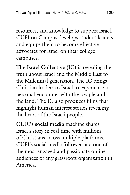resources, and knowledge to support Israel. CUFI on Campus develops student leaders and equips them to become effective advocates for Israel on their college campuses.

The Israel Collective (IC) is revealing the truth about Israel and the Middle East to the Millennial generation. The IC brings Christian leaders to Israel to experience a personal encounter with the people and the land. The IC also produces films that highlight human interest stories revealing the heart of the Israeli people.

CUFI's social media machine shares Israel's story in real time with millions of Christians across multiple platforms. CUFI's social media followers are one of the most engaged and passionate online audiences of any grassroots organization in America.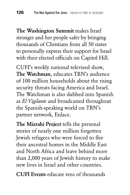The Washington Summit makes Israel stronger and her people safer by bringing thousands of Christians from all 50 states to personally express their support for Israel with their elected officials on Capitol Hill.

CUFI's weekly national televised show, The Watchman, educates TBN's audience of 100 million households about the rising security threats facing America and Israel. The Watchman is also dubbed into Spanish as *El Vigilante* and broadcasted throughout the Spanish-speaking world on TBN's partner network, Enlace.

The Mizrahi Project tells the personal stories of nearly one million forgotten Jewish refugees who were forced to flee their ancestral homes in the Middle East and North Africa and leave behind more than 2,000 years of Jewish history to make new lives in Israel and other countries.

CUFI Events educate tens of thousands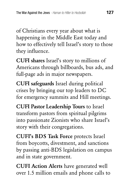of Christians every year about what is happening in the Middle East today and how to effectively tell Israel's story to those they influence.

CUFI shares Israel's story to millions of Americans through billboards, bus ads, and full-page ads in major newspapers.

CUFI safeguards Israel during political crises by bringing our top leaders to DC for emergency summits and Hill meetings.

CUFI Pastor Leadership Tours to Israel transform pastors from spiritual pilgrims into passionate Zionists who share Israel's story with their congregations.

CUFI's BDS Task Force protects Israel from boycotts, divestment, and sanctions by passing anti-BDS legislation on campus and in state government.

CUFI Action Alerts have generated well over 1.5 million emails and phone calls to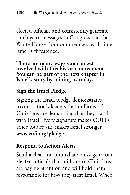elected officials and consistently generate a deluge of messages to Congress and the White House from our members each time Israel is threatened.

There are many ways you can get involved with this historic movement. You can be part of the next chapter in Israel's story by joining us today.

## Sign the Israel Pledge

Signing the Israel pledge demonstrates to our nation's leaders that millions of Christians are demanding that they stand with Israel. Every signature makes CUFI's voice louder and makes Israel stronger. www.cufi.org/pledge

## Respond to Action Alerts

Send a clear and immediate message to our elected officials that millions of Christians are paying attention and will hold them responsible for how they treat Israel. When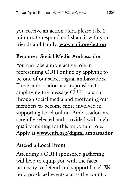you receive an action alert, please take 2 minutes to respond and share it with your friends and family. www.cufi.org/action

### Become a Social Media Ambassador

You can take a more active role in representing CUFI online by applying to be one of our select digital ambassadors. These ambassadors are responsible for amplifying the message CUFI puts out through social media and motivating our members to become more involved in supporting Israel online. Ambassadors are carefully selected and provided with highquality training for this important role. Apply at www.cufi.org/digital ambassador

### Attend a Local Event

Attending a CUFI sponsored gathering will help to equip you with the facts necessary to defend and support Israel. We hold pro-Israel events across the country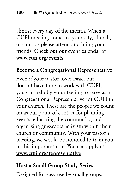almost every day of the month. When a CUFI meeting comes to your city, church, or campus please attend and bring your friends. Check out our event calendar at www.cufi.org/events

#### Become a Congregational Representative

Even if your pastor loves Israel but doesn't have time to work with CUFI, you can help by volunteering to serve as a Congregational Representative for CUFI in your church. These are the people we count on as our point of contact for planning events, educating the community, and organizing grassroots activism within their church or community. With your pastor's blessing, we would be honored to train you in this important role. You can apply at www.cufi.org/representative

#### Host a Small Group Study Series

Designed for easy use by small groups,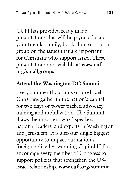CUFI has provided ready-made presentations that will help you educate your friends, family, book club, or church group on the issues that are important for Christians who support Israel. These presentations are available at www.cufi. org/smallgroups

#### Attend the Washington DC Summit

Every summer thousands of pro-Israel Christians gather in the nation's capital for two days of power-packed advocacy training and mobilization. The Summit draws the most renowned speakers, national leaders, and experts in Washington and Jerusalem. It is also our single biggest opportunity to impact our nation's foreign policy by swarming Capitol Hill to encourage every member of Congress to support policies that strengthen the US-Israel relationship. www.cufi.org/summit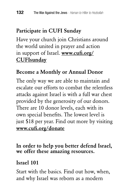## Participate in CUFI Sunday

Have your church join Christians around the world united in prayer and action in support of Israel. www.cufi.org/ **CUFIsunday** 

#### Become a Monthly or Annual Donor

The only way we are able to maintain and escalate our efforts to combat the relentless attacks against Israel is with a full war chest provided by the generosity of our donors. There are 10 donor levels, each with its own special benefits. The lowest level is just \$18 per year. Find out more by visiting www.cufi.org/donate

In order to help you better defend Israel, we offer these amazing resources.

#### Israel 101

Start with the basics. Find out how, when, and why Israel was reborn as a modern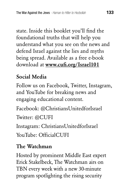state. Inside this booklet you'll find the foundational truths that will help you understand what you see on the news and defend Israel against the lies and myths being spread. Available as a free e-book download at www.cufi.org/Israel101

#### Social Media

Follow us on Facebook, Twitter, Instagram, and YouTube for breaking news and engaging educational content.

Facebook: @ChristiansUnitedforIsrael Twitter: @CUFI

Instagram: ChristiansUnitedforIsrael

YouTube: OfficialCUFI

#### The Watchman

Hosted by prominent Middle East expert Erick Stakelbeck, The Watchman airs on TBN every week with a new 30-minute program spotlighting the rising security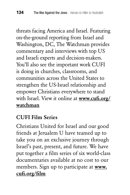threats facing America and Israel. Featuring on-the-ground reporting from Israel and Washington, DC, The Watchman provides commentary and interviews with top US and Israeli experts and decision-makers. You'll also see the important work CUFI is doing in churches, classrooms, and communities across the United States to strengthen the US-Israel relationship and empower Christians everywhere to stand with Israel. View it online at www.cufi.org/ watchman

## CUFI Film Series

Christians United for Israel and our good friends at Jerualem U have teamed up to take you on an exclusive journey through Israel's past, present, and future. We have put together a film series of six world-class documentaries available at no cost to our members. Sign up to participate at www. cufi.org/film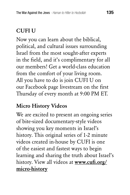## CUFI U

Now you can learn about the biblical, political, and cultural issues surrounding Israel from the most sought-after experts in the field, and it's complimentary for all our members! Get a world-class education from the comfort of your living room. All you have to do is join CUFI U on our Facebook page livestream on the first Thursday of every month at 9:00 PM ET.

## Micro History Videos

We are excited to present an ongoing series of bite-sized documentary-style videos showing you key moments in Israel's history. This original series of 1-2 minute videos created in-house by CUFI is one of the easiest and fastest ways to begin learning and sharing the truth about Israel's history. View all videos at www.cufi.org/ micro-history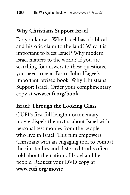## Why Christians Support Israel

Do you know…Why Israel has a biblical and historic claim to the land? Why it is important to bless Israel? Why modern Israel matters to the world? If you are searching for answers to these questions, you need to read Pastor John Hagee's important revised book, Why Christians Support Israel. Order your complimentary copy at www.cufi.org/book

#### Israel: Through the Looking Glass

CUFI's first full-length documentary movie dispels the myths about Israel with personal testimonies from the people who live in Israel. This film empowers Christians with an engaging tool to combat the sinister lies and distorted truths often told about the nation of Israel and her people. Request your DVD copy at www.cufi.org/movie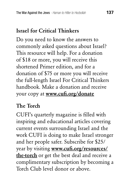## Israel for Critical Thinkers

Do you need to know the answers to commonly asked questions about Israel? This resource will help. For a donation of \$18 or more, you will receive this shortened Primer edition, and for a donation of \$75 or more you will receive the full-length Israel For Critical Thinkers handbook. Make a donation and receive your copy at **www.cufi.org/donate** 

### The Torch

CUFI's quarterly magazine is filled with inspiring and educational articles covering current events surrounding Israel and the work CUFI is doing to make Israel stronger and her people safer. Subscribe for \$25/ year by visiting www.cufi.org/resources/ the-torch or get the best deal and receive a complimentary subscription by becoming a Torch Club level donor or above.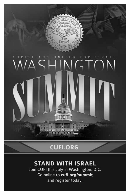

## **CUFI.ORG**

#### **STAND WITH ISRAEL**

Join CUFI this July in Washington, D.C. Go online to cufi.org/summit and register today.